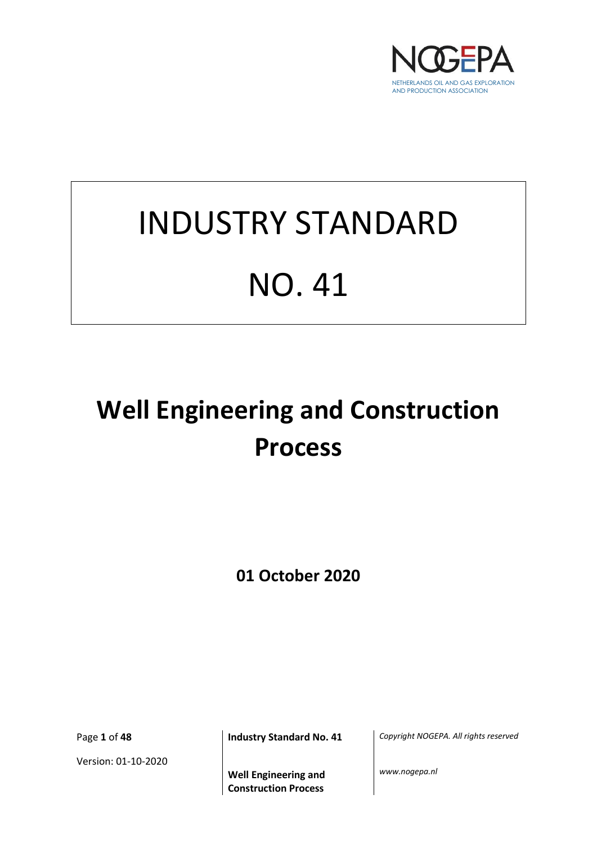

# INDUSTRY STANDARD NO. 41

## **Well Engineering and Construction Process**

**01 October 2020**

Version: 01-10-2020

**Well Engineering and Construction Process**

Page **1** of **48 Industry Standard No. 41** *Copyright NOGEPA. All rights reserved*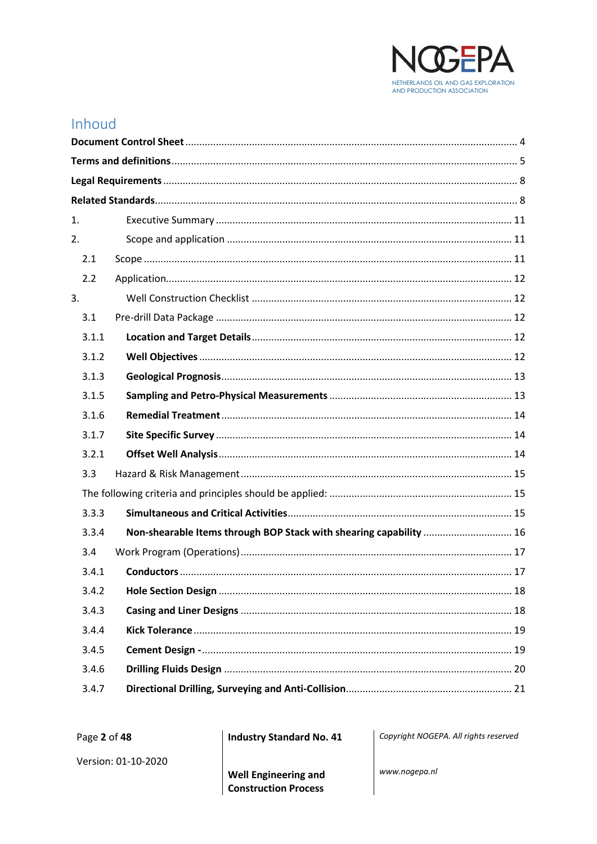

## Inhoud

| 1. |       |                                                                    |  |  |  |  |
|----|-------|--------------------------------------------------------------------|--|--|--|--|
| 2. |       |                                                                    |  |  |  |  |
|    | 2.1   |                                                                    |  |  |  |  |
|    | 2.2   |                                                                    |  |  |  |  |
| 3. |       |                                                                    |  |  |  |  |
|    | 3.1   |                                                                    |  |  |  |  |
|    | 3.1.1 |                                                                    |  |  |  |  |
|    | 3.1.2 |                                                                    |  |  |  |  |
|    | 3.1.3 |                                                                    |  |  |  |  |
|    | 3.1.5 |                                                                    |  |  |  |  |
|    | 3.1.6 |                                                                    |  |  |  |  |
|    | 3.1.7 |                                                                    |  |  |  |  |
|    | 3.2.1 |                                                                    |  |  |  |  |
|    | 3.3   |                                                                    |  |  |  |  |
|    |       |                                                                    |  |  |  |  |
|    | 3.3.3 |                                                                    |  |  |  |  |
|    | 3.3.4 | Non-shearable Items through BOP Stack with shearing capability  16 |  |  |  |  |
|    | 3.4   |                                                                    |  |  |  |  |
|    | 3.4.1 |                                                                    |  |  |  |  |
|    | 3.4.2 |                                                                    |  |  |  |  |
|    | 3.4.3 |                                                                    |  |  |  |  |
|    | 3.4.4 |                                                                    |  |  |  |  |
|    | 3.4.5 |                                                                    |  |  |  |  |
|    | 3.4.6 |                                                                    |  |  |  |  |
|    | 3.4.7 |                                                                    |  |  |  |  |
|    |       |                                                                    |  |  |  |  |

Page 2 of 48

**Industry Standard No. 41** 

Copyright NOGEPA. All rights reserved

Version: 01-10-2020

**Well Engineering and Construction Process**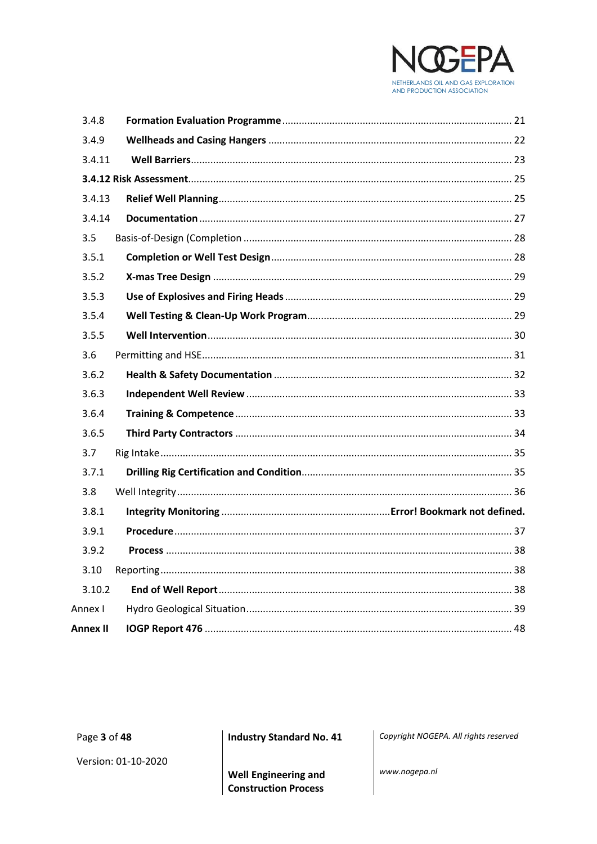

| 3.4.8           |  |
|-----------------|--|
| 3.4.9           |  |
| 3.4.11          |  |
|                 |  |
| 3.4.13          |  |
| 3.4.14          |  |
| 3.5             |  |
| 3.5.1           |  |
| 3.5.2           |  |
| 3.5.3           |  |
| 3.5.4           |  |
| 3.5.5           |  |
| 3.6             |  |
| 3.6.2           |  |
| 3.6.3           |  |
| 3.6.4           |  |
| 3.6.5           |  |
| 3.7             |  |
| 3.7.1           |  |
| 3.8             |  |
| 3.8.1           |  |
| 3.9.1           |  |
| 3.9.2           |  |
| 3.10            |  |
| 3.10.2          |  |
| Annex I         |  |
| <b>Annex II</b> |  |

**Industry Standard No. 41** 

Copyright NOGEPA. All rights reserved

Version: 01-10-2020

**Well Engineering and Construction Process**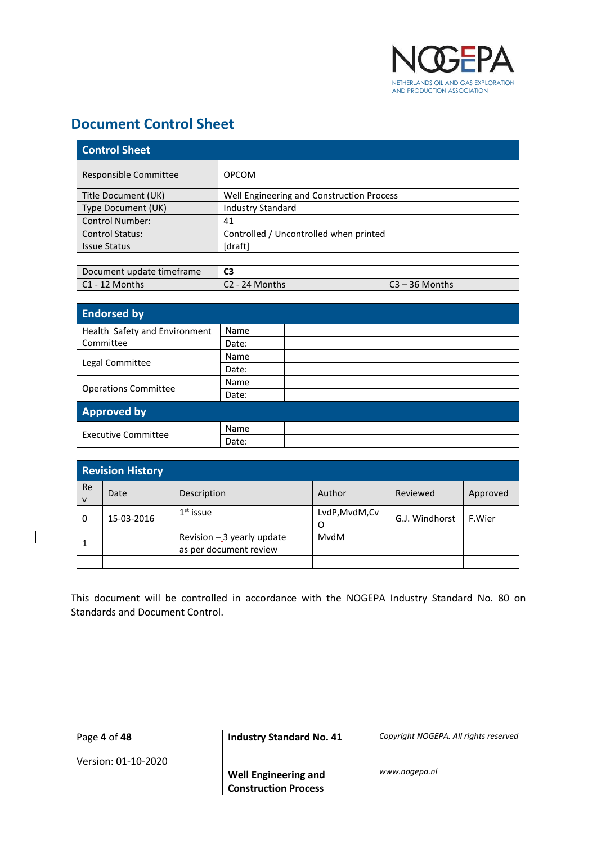

## <span id="page-3-0"></span>**Document Control Sheet**

| <b>Control Sheet</b>   |                                           |  |
|------------------------|-------------------------------------------|--|
| Responsible Committee  | <b>OPCOM</b>                              |  |
| Title Document (UK)    | Well Engineering and Construction Process |  |
| Type Document (UK)     | <b>Industry Standard</b>                  |  |
| <b>Control Number:</b> | 41                                        |  |
| <b>Control Status:</b> | Controlled / Uncontrolled when printed    |  |
| <b>Issue Status</b>    | [draft]                                   |  |

| Document update timeframe | l C3           |                  |
|---------------------------|----------------|------------------|
| $\mathsf{C1}$ - 12 Months | C2 - 24 Months | l C3 – 36 Months |

| <b>Endorsed by</b>            |       |  |
|-------------------------------|-------|--|
| Health Safety and Environment | Name  |  |
| Committee                     | Date: |  |
|                               | Name  |  |
| Legal Committee               | Date: |  |
|                               | Name  |  |
| <b>Operations Committee</b>   | Date: |  |
| <b>Approved by</b>            |       |  |
| <b>Executive Committee</b>    | Name  |  |
|                               | Date: |  |

|                           | <b>Revision History</b> |                                                       |                     |                |          |  |
|---------------------------|-------------------------|-------------------------------------------------------|---------------------|----------------|----------|--|
| <b>Re</b><br>$\mathsf{v}$ | Date                    | Description                                           | Author              | Reviewed       | Approved |  |
| 0                         | 15-03-2016              | $1st$ issue                                           | LvdP, MvdM, Cv<br>O | G.J. Windhorst | F.Wier   |  |
|                           |                         | Revision $-3$ yearly update<br>as per document review | MvdM                |                |          |  |
|                           |                         |                                                       |                     |                |          |  |

This document will be controlled in accordance with the NOGEPA Industry Standard No. 80 on Standards and Document Control.

Version: 01-10-2020

Page **4** of **48 Industry Standard No. 41** *Copyright NOGEPA. All rights reserved*

**Well Engineering and Construction Process**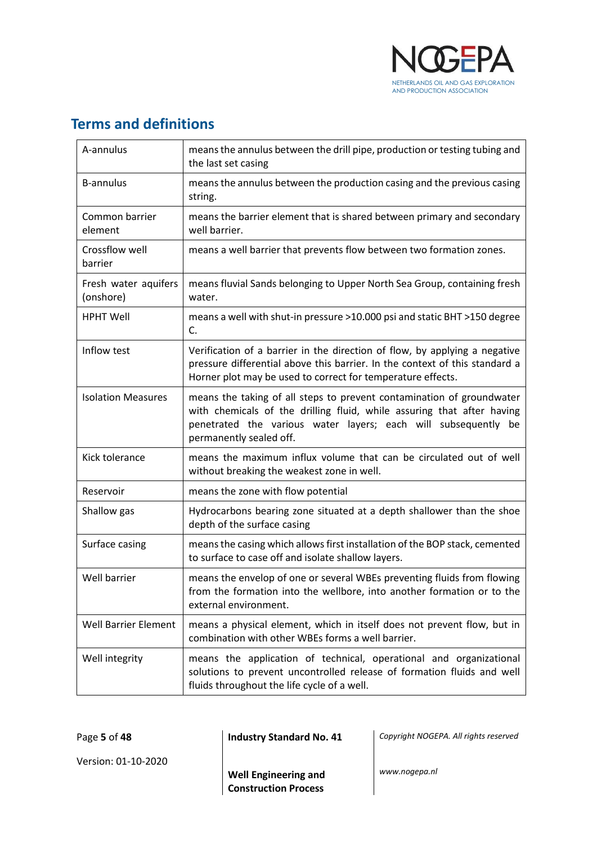

## <span id="page-4-0"></span>**Terms and definitions**

| A-annulus                         | means the annulus between the drill pipe, production or testing tubing and<br>the last set casing                                                                                                                                            |
|-----------------------------------|----------------------------------------------------------------------------------------------------------------------------------------------------------------------------------------------------------------------------------------------|
| <b>B-annulus</b>                  | means the annulus between the production casing and the previous casing<br>string.                                                                                                                                                           |
| Common barrier<br>element         | means the barrier element that is shared between primary and secondary<br>well barrier.                                                                                                                                                      |
| Crossflow well<br>barrier         | means a well barrier that prevents flow between two formation zones.                                                                                                                                                                         |
| Fresh water aquifers<br>(onshore) | means fluvial Sands belonging to Upper North Sea Group, containing fresh<br>water.                                                                                                                                                           |
| <b>HPHT Well</b>                  | means a well with shut-in pressure >10.000 psi and static BHT >150 degree<br>C.                                                                                                                                                              |
| Inflow test                       | Verification of a barrier in the direction of flow, by applying a negative<br>pressure differential above this barrier. In the context of this standard a<br>Horner plot may be used to correct for temperature effects.                     |
| <b>Isolation Measures</b>         | means the taking of all steps to prevent contamination of groundwater<br>with chemicals of the drilling fluid, while assuring that after having<br>penetrated the various water layers; each will subsequently be<br>permanently sealed off. |
| Kick tolerance                    | means the maximum influx volume that can be circulated out of well<br>without breaking the weakest zone in well.                                                                                                                             |
| Reservoir                         | means the zone with flow potential                                                                                                                                                                                                           |
| Shallow gas                       | Hydrocarbons bearing zone situated at a depth shallower than the shoe<br>depth of the surface casing                                                                                                                                         |
| Surface casing                    | means the casing which allows first installation of the BOP stack, cemented<br>to surface to case off and isolate shallow layers.                                                                                                            |
| Well barrier                      | means the envelop of one or several WBEs preventing fluids from flowing<br>from the formation into the wellbore, into another formation or to the<br>external environment.                                                                   |
| <b>Well Barrier Element</b>       | means a physical element, which in itself does not prevent flow, but in<br>combination with other WBEs forms a well barrier.                                                                                                                 |
| Well integrity                    | means the application of technical, operational and organizational<br>solutions to prevent uncontrolled release of formation fluids and well<br>fluids throughout the life cycle of a well.                                                  |

Page **5** of **48 Industry Standard No. 41** *Copyright NOGEPA. All rights reserved*

Version: 01-10-2020

**Well Engineering and Construction Process**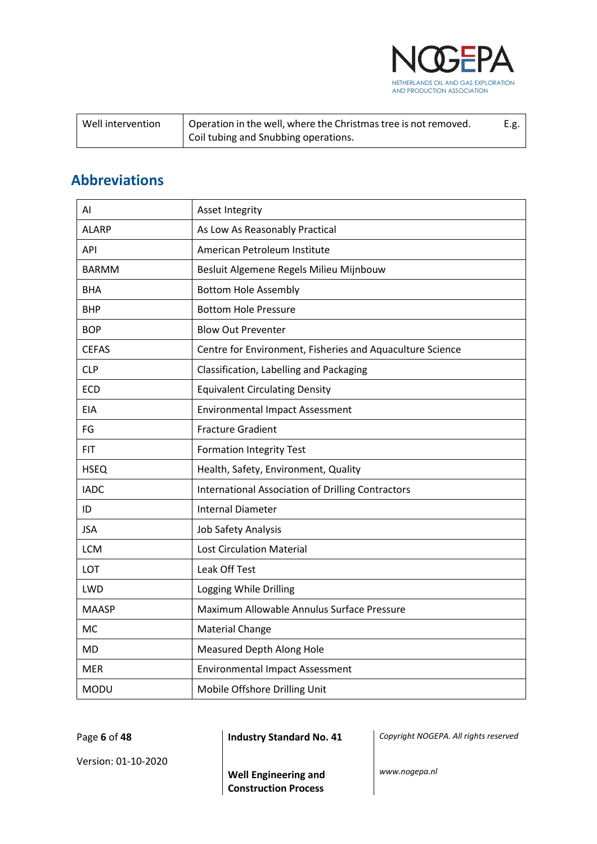

| Well intervention | Operation in the well, where the Christmas tree is not removed. | E.g. |
|-------------------|-----------------------------------------------------------------|------|
|                   | Coil tubing and Snubbing operations.                            |      |

## **Abbreviations**

| AI           | <b>Asset Integrity</b>                                    |
|--------------|-----------------------------------------------------------|
| <b>ALARP</b> | As Low As Reasonably Practical                            |
| API          | American Petroleum Institute                              |
| <b>BARMM</b> | Besluit Algemene Regels Milieu Mijnbouw                   |
| BHA          | <b>Bottom Hole Assembly</b>                               |
| <b>BHP</b>   | <b>Bottom Hole Pressure</b>                               |
| <b>BOP</b>   | <b>Blow Out Preventer</b>                                 |
| <b>CEFAS</b> | Centre for Environment, Fisheries and Aquaculture Science |
| <b>CLP</b>   | Classification, Labelling and Packaging                   |
| <b>ECD</b>   | <b>Equivalent Circulating Density</b>                     |
| EIA          | <b>Environmental Impact Assessment</b>                    |
| FG           | <b>Fracture Gradient</b>                                  |
| <b>FIT</b>   | <b>Formation Integrity Test</b>                           |
| <b>HSEQ</b>  | Health, Safety, Environment, Quality                      |
| <b>IADC</b>  | International Association of Drilling Contractors         |
| ID           | <b>Internal Diameter</b>                                  |
| <b>JSA</b>   | Job Safety Analysis                                       |
| <b>LCM</b>   | <b>Lost Circulation Material</b>                          |
| LOT          | Leak Off Test                                             |
| <b>LWD</b>   | Logging While Drilling                                    |
| <b>MAASP</b> | Maximum Allowable Annulus Surface Pressure                |
| <b>MC</b>    | <b>Material Change</b>                                    |
| <b>MD</b>    | Measured Depth Along Hole                                 |
| <b>MER</b>   | <b>Environmental Impact Assessment</b>                    |
| <b>MODU</b>  | Mobile Offshore Drilling Unit                             |

Page **6** of **48 Industry Standard No. 41** *Copyright NOGEPA. All rights reserved*

Version: 01-10-2020

**Well Engineering and Construction Process**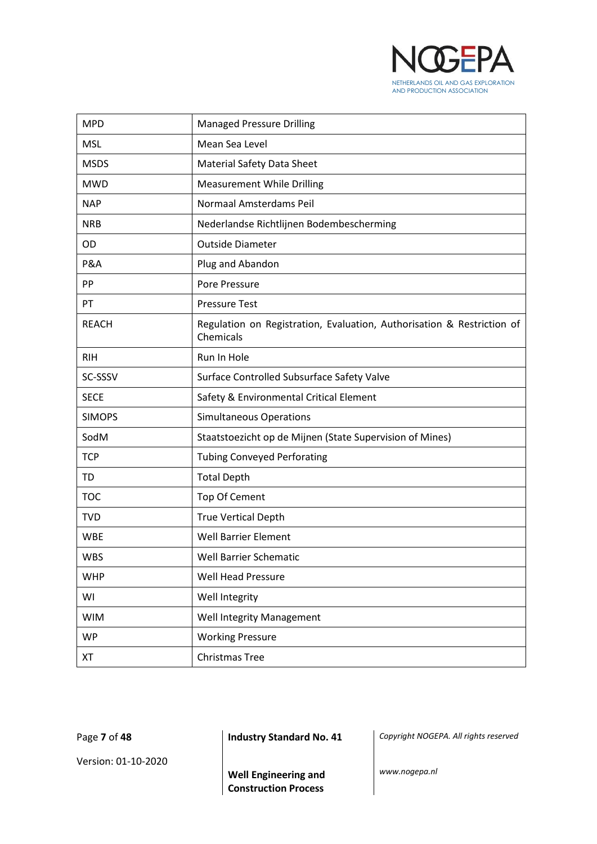

| <b>MPD</b>    | <b>Managed Pressure Drilling</b>                                                    |
|---------------|-------------------------------------------------------------------------------------|
| <b>MSL</b>    | Mean Sea Level                                                                      |
| <b>MSDS</b>   | <b>Material Safety Data Sheet</b>                                                   |
| <b>MWD</b>    | <b>Measurement While Drilling</b>                                                   |
| <b>NAP</b>    | Normaal Amsterdams Peil                                                             |
| <b>NRB</b>    | Nederlandse Richtlijnen Bodembescherming                                            |
| OD            | <b>Outside Diameter</b>                                                             |
| P&A           | Plug and Abandon                                                                    |
| PP            | Pore Pressure                                                                       |
| PT            | <b>Pressure Test</b>                                                                |
| <b>REACH</b>  | Regulation on Registration, Evaluation, Authorisation & Restriction of<br>Chemicals |
| <b>RIH</b>    | Run In Hole                                                                         |
| SC-SSSV       | Surface Controlled Subsurface Safety Valve                                          |
| <b>SECE</b>   | Safety & Environmental Critical Element                                             |
| <b>SIMOPS</b> | <b>Simultaneous Operations</b>                                                      |
| SodM          | Staatstoezicht op de Mijnen (State Supervision of Mines)                            |
| <b>TCP</b>    | <b>Tubing Conveyed Perforating</b>                                                  |
| <b>TD</b>     | <b>Total Depth</b>                                                                  |
| <b>TOC</b>    | Top Of Cement                                                                       |
| <b>TVD</b>    | <b>True Vertical Depth</b>                                                          |
| <b>WBE</b>    | <b>Well Barrier Element</b>                                                         |
| <b>WBS</b>    | <b>Well Barrier Schematic</b>                                                       |
| <b>WHP</b>    | <b>Well Head Pressure</b>                                                           |
| WI            | Well Integrity                                                                      |
| <b>WIM</b>    | Well Integrity Management                                                           |
| <b>WP</b>     | <b>Working Pressure</b>                                                             |
| XT            | <b>Christmas Tree</b>                                                               |

Page **7** of **48 Industry Standard No. 41** *Copyright NOGEPA. All rights reserved*

Version: 01-10-2020

**Well Engineering and Construction Process**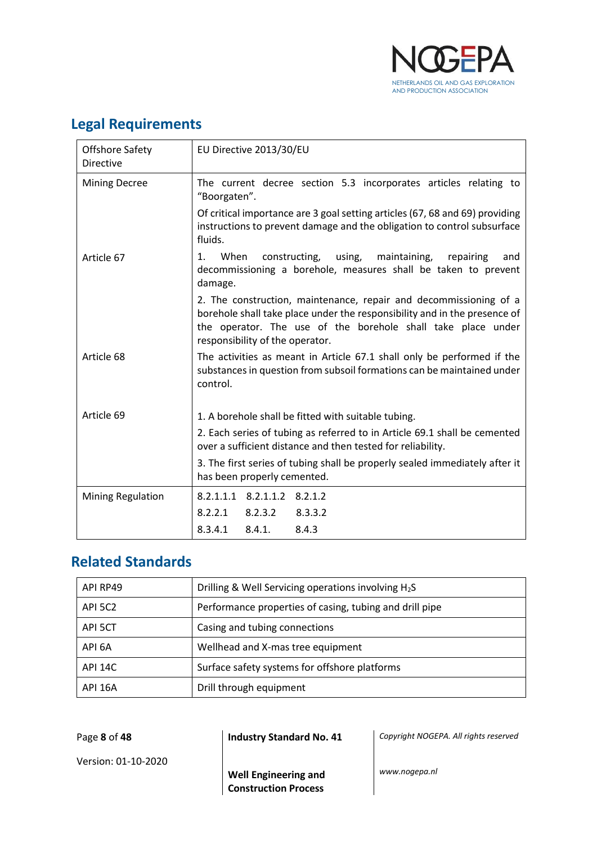

## <span id="page-7-0"></span>**Legal Requirements**

| <b>Offshore Safety</b><br>Directive | EU Directive 2013/30/EU                                                                                                                                                                                                                           |  |  |
|-------------------------------------|---------------------------------------------------------------------------------------------------------------------------------------------------------------------------------------------------------------------------------------------------|--|--|
| <b>Mining Decree</b>                | The current decree section 5.3 incorporates articles relating to<br>"Boorgaten".                                                                                                                                                                  |  |  |
|                                     | Of critical importance are 3 goal setting articles (67, 68 and 69) providing<br>instructions to prevent damage and the obligation to control subsurface<br>fluids.                                                                                |  |  |
| Article 67                          | When<br>using,<br>$\mathbf{1}$ .<br>constructing,<br>maintaining,<br>repairing<br>and<br>decommissioning a borehole, measures shall be taken to prevent<br>damage.                                                                                |  |  |
|                                     | 2. The construction, maintenance, repair and decommissioning of a<br>borehole shall take place under the responsibility and in the presence of<br>the operator. The use of the borehole shall take place under<br>responsibility of the operator. |  |  |
| Article 68                          | The activities as meant in Article 67.1 shall only be performed if the<br>substances in question from subsoil formations can be maintained under<br>control.                                                                                      |  |  |
| Article 69                          | 1. A borehole shall be fitted with suitable tubing.                                                                                                                                                                                               |  |  |
|                                     | 2. Each series of tubing as referred to in Article 69.1 shall be cemented<br>over a sufficient distance and then tested for reliability.                                                                                                          |  |  |
|                                     | 3. The first series of tubing shall be properly sealed immediately after it<br>has been properly cemented.                                                                                                                                        |  |  |
| <b>Mining Regulation</b>            | 8.2.1.1.1 8.2.1.1.2 8.2.1.2                                                                                                                                                                                                                       |  |  |
|                                     | 8.2.2.1<br>8.2.3.2<br>8.3.3.2                                                                                                                                                                                                                     |  |  |
|                                     | 8.3.4.1<br>8.4.3<br>8.4.1.                                                                                                                                                                                                                        |  |  |

## <span id="page-7-1"></span>**Related Standards**

| API RP49       | Drilling & Well Servicing operations involving $H_2S$   |
|----------------|---------------------------------------------------------|
| <b>API 5C2</b> | Performance properties of casing, tubing and drill pipe |
| API 5CT        | Casing and tubing connections                           |
| API 6A         | Wellhead and X-mas tree equipment                       |
| <b>API 14C</b> | Surface safety systems for offshore platforms           |
| <b>API 16A</b> | Drill through equipment                                 |

Page **8** of **48 Industry Standard No. 41** *Copyright NOGEPA. All rights reserved*

Version: 01-10-2020

**Well Engineering and Construction Process**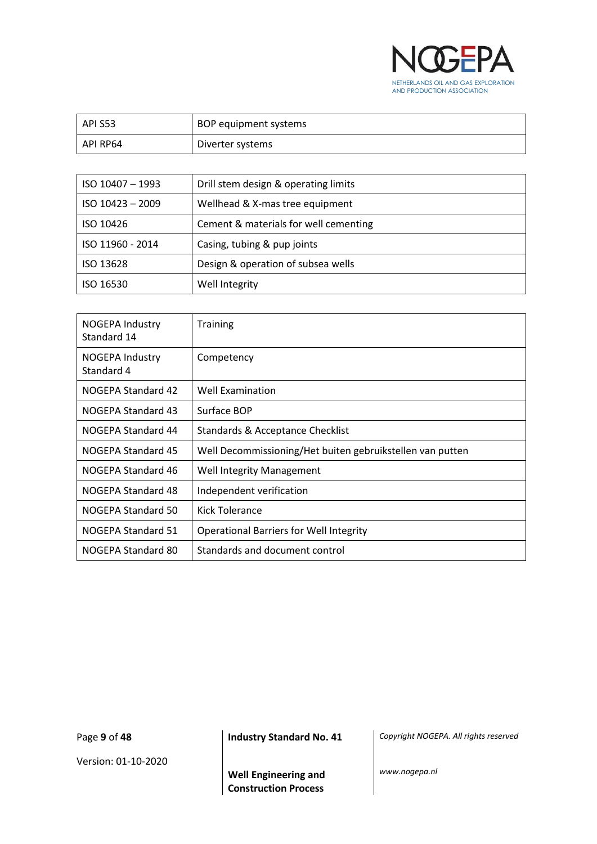

| API S53  | BOP equipment systems |
|----------|-----------------------|
| API RP64 | Diverter systems      |

| ISO 10407 - 1993   | Drill stem design & operating limits  |
|--------------------|---------------------------------------|
| $ISO$ 10423 - 2009 | Wellhead & X-mas tree equipment       |
| ISO 10426          | Cement & materials for well cementing |
| ISO 11960 - 2014   | Casing, tubing & pup joints           |
| ISO 13628          | Design & operation of subsea wells    |
| ISO 16530          | Well Integrity                        |

| <b>NOGEPA Industry</b><br>Standard 14 | Training                                                  |
|---------------------------------------|-----------------------------------------------------------|
| <b>NOGEPA Industry</b><br>Standard 4  | Competency                                                |
| NOGEPA Standard 42                    | <b>Well Examination</b>                                   |
| NOGEPA Standard 43                    | Surface BOP                                               |
| NOGEPA Standard 44                    | Standards & Acceptance Checklist                          |
| NOGEPA Standard 45                    | Well Decommissioning/Het buiten gebruikstellen van putten |
| NOGEPA Standard 46                    | Well Integrity Management                                 |
| NOGEPA Standard 48                    | Independent verification                                  |
| NOGEPA Standard 50                    | <b>Kick Tolerance</b>                                     |
| NOGEPA Standard 51                    | <b>Operational Barriers for Well Integrity</b>            |
| NOGEPA Standard 80                    | Standards and document control                            |

Version: 01-10-2020

Page **9** of **48 Industry Standard No. 41** *Copyright NOGEPA. All rights reserved*

**Well Engineering and Construction Process**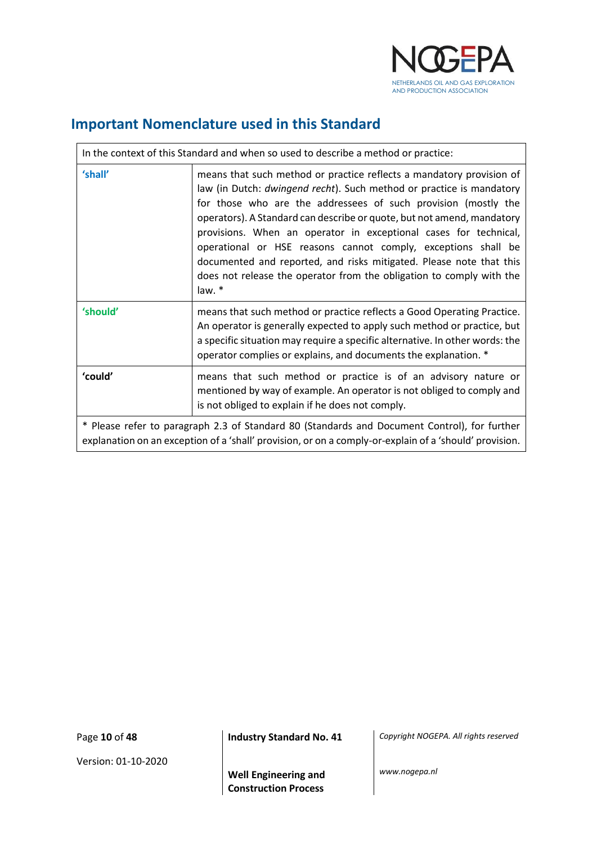

## **Important Nomenclature used in this Standard**

| In the context of this Standard and when so used to describe a method or practice:                                                                                                                     |                                                                                                                                                                                                                                                                                                                                                                                                                                                                                                                                                                                        |  |
|--------------------------------------------------------------------------------------------------------------------------------------------------------------------------------------------------------|----------------------------------------------------------------------------------------------------------------------------------------------------------------------------------------------------------------------------------------------------------------------------------------------------------------------------------------------------------------------------------------------------------------------------------------------------------------------------------------------------------------------------------------------------------------------------------------|--|
| 'shall'                                                                                                                                                                                                | means that such method or practice reflects a mandatory provision of<br>law (in Dutch: dwingend recht). Such method or practice is mandatory<br>for those who are the addressees of such provision (mostly the<br>operators). A Standard can describe or quote, but not amend, mandatory<br>provisions. When an operator in exceptional cases for technical,<br>operational or HSE reasons cannot comply, exceptions shall be<br>documented and reported, and risks mitigated. Please note that this<br>does not release the operator from the obligation to comply with the<br>law. * |  |
| 'should'                                                                                                                                                                                               | means that such method or practice reflects a Good Operating Practice.<br>An operator is generally expected to apply such method or practice, but<br>a specific situation may require a specific alternative. In other words: the<br>operator complies or explains, and documents the explanation. *                                                                                                                                                                                                                                                                                   |  |
| 'could'                                                                                                                                                                                                | means that such method or practice is of an advisory nature or<br>mentioned by way of example. An operator is not obliged to comply and<br>is not obliged to explain if he does not comply.                                                                                                                                                                                                                                                                                                                                                                                            |  |
| * Please refer to paragraph 2.3 of Standard 80 (Standards and Document Control), for further<br>explanation on an exception of a 'shall' provision, or on a comply-or-explain of a 'should' provision. |                                                                                                                                                                                                                                                                                                                                                                                                                                                                                                                                                                                        |  |

 $\mathbf{r}$ 

Version: 01-10-2020

Page **10** of **48 Industry Standard No. 41** *Copyright NOGEPA. All rights reserved*

**Well Engineering and Construction Process**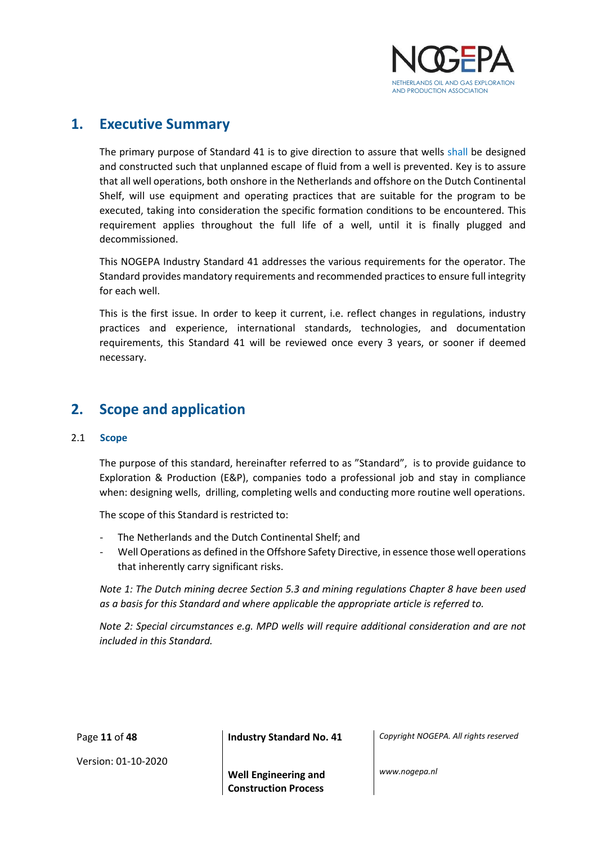

## <span id="page-10-0"></span>**1. Executive Summary**

The primary purpose of Standard 41 is to give direction to assure that wells shall be designed and constructed such that unplanned escape of fluid from a well is prevented. Key is to assure that all well operations, both onshore in the Netherlands and offshore on the Dutch Continental Shelf, will use equipment and operating practices that are suitable for the program to be executed, taking into consideration the specific formation conditions to be encountered. This requirement applies throughout the full life of a well, until it is finally plugged and decommissioned.

This NOGEPA Industry Standard 41 addresses the various requirements for the operator. The Standard provides mandatory requirements and recommended practices to ensure full integrity for each well.

This is the first issue. In order to keep it current, i.e. reflect changes in regulations, industry practices and experience, international standards, technologies, and documentation requirements, this Standard 41 will be reviewed once every 3 years, or sooner if deemed necessary.

## <span id="page-10-1"></span>**2. Scope and application**

#### <span id="page-10-2"></span>2.1 **Scope**

The purpose of this standard, hereinafter referred to as "Standard", is to provide guidance to Exploration & Production (E&P), companies todo a professional job and stay in compliance when: designing wells, drilling, completing wells and conducting more routine well operations.

The scope of this Standard is restricted to:

- The Netherlands and the Dutch Continental Shelf; and
- Well Operations as defined in the Offshore Safety Directive, in essence those well operations that inherently carry significant risks.

*Note 1: The Dutch mining decree Section 5.3 and mining regulations Chapter 8 have been used as a basis for this Standard and where applicable the appropriate article is referred to.*

*Note 2: Special circumstances e.g. MPD wells will require additional consideration and are not included in this Standard.*

Version: 01-10-2020

Page **11** of **48 Industry Standard No. 41** *Copyright NOGEPA. All rights reserved*

**Well Engineering and Construction Process**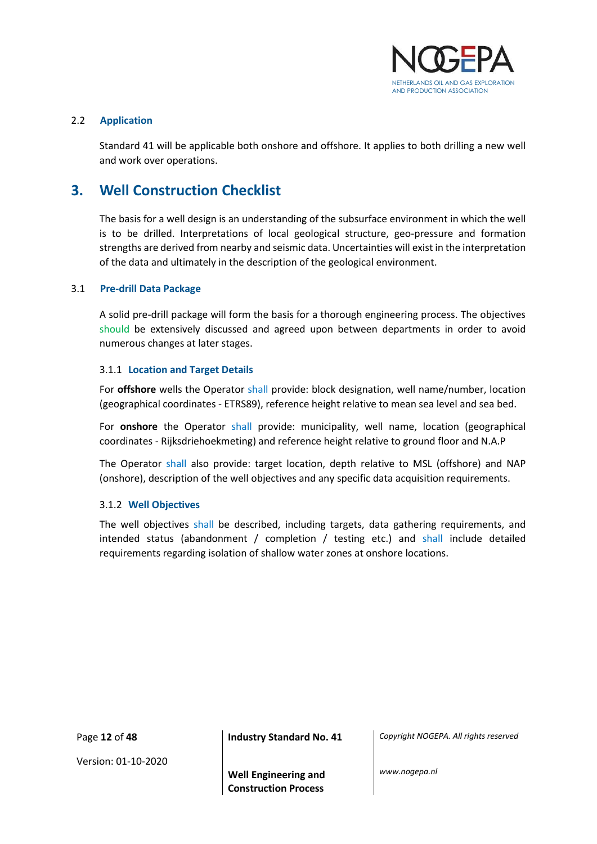

#### <span id="page-11-0"></span>2.2 **Application**

Standard 41 will be applicable both onshore and offshore. It applies to both drilling a new well and work over operations.

## <span id="page-11-1"></span>**3. Well Construction Checklist**

The basis for a well design is an understanding of the subsurface environment in which the well is to be drilled. Interpretations of local geological structure, geo-pressure and formation strengths are derived from nearby and seismic data. Uncertainties will exist in the interpretation of the data and ultimately in the description of the geological environment.

#### <span id="page-11-2"></span>3.1 **Pre-drill Data Package**

A solid pre-drill package will form the basis for a thorough engineering process. The objectives should be extensively discussed and agreed upon between departments in order to avoid numerous changes at later stages.

#### <span id="page-11-3"></span>3.1.1 **Location and Target Details**

For **offshore** wells the Operator shall provide: block designation, well name/number, location (geographical coordinates - ETRS89), reference height relative to mean sea level and sea bed.

For **onshore** the Operator shall provide: municipality, well name, location (geographical coordinates - Rijksdriehoekmeting) and reference height relative to ground floor and N.A.P

The Operator shall also provide: target location, depth relative to MSL (offshore) and NAP (onshore), description of the well objectives and any specific data acquisition requirements.

#### <span id="page-11-4"></span>3.1.2 **Well Objectives**

The well objectives shall be described, including targets, data gathering requirements, and intended status (abandonment / completion / testing etc.) and shall include detailed requirements regarding isolation of shallow water zones at onshore locations.

Version: 01-10-2020

Page **12** of **48 Industry Standard No. 41** *Copyright NOGEPA. All rights reserved*

**Well Engineering and Construction Process**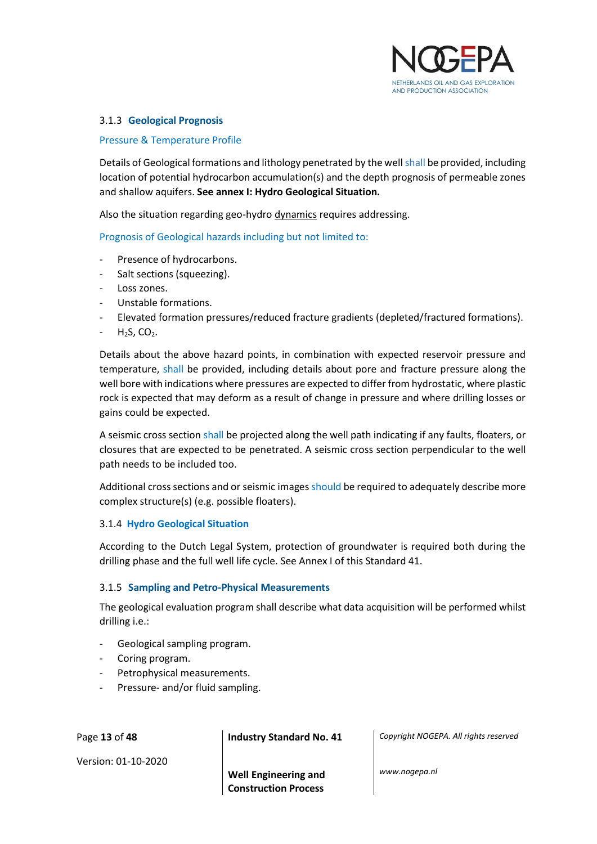

#### <span id="page-12-0"></span>3.1.3 **Geological Prognosis**

#### Pressure & Temperature Profile

Details of Geological formations and lithology penetrated by the well shall be provided, including location of potential hydrocarbon accumulation(s) and the depth prognosis of permeable zones and shallow aquifers. **See annex I: Hydro Geological Situation.**

Also the situation regarding geo-hydro dynamics requires addressing.

Prognosis of Geological hazards including but not limited to:

- Presence of hydrocarbons.
- Salt sections (squeezing).
- Loss zones.
- Unstable formations.
- Elevated formation pressures/reduced fracture gradients (depleted/fractured formations).
- $H<sub>2</sub>S$ , CO<sub>2</sub>.

Details about the above hazard points, in combination with expected reservoir pressure and temperature, shall be provided, including details about pore and fracture pressure along the well bore with indications where pressures are expected to differ from hydrostatic, where plastic rock is expected that may deform as a result of change in pressure and where drilling losses or gains could be expected.

A seismic cross section shall be projected along the well path indicating if any faults, floaters, or closures that are expected to be penetrated. A seismic cross section perpendicular to the well path needs to be included too.

Additional cross sections and or seismic images should be required to adequately describe more complex structure(s) (e.g. possible floaters).

#### 3.1.4 **Hydro Geological Situation**

According to the Dutch Legal System, protection of groundwater is required both during the drilling phase and the full well life cycle. See Annex I of this Standard 41.

#### <span id="page-12-1"></span>3.1.5 **Sampling and Petro-Physical Measurements**

The geological evaluation program shall describe what data acquisition will be performed whilst drilling i.e.:

- Geological sampling program.
- Coring program.
- Petrophysical measurements.
- Pressure- and/or fluid sampling.

Page **13** of **48 Industry Standard No. 41** *Copyright NOGEPA. All rights reserved*

Version: 01-10-2020

**Well Engineering and Construction Process**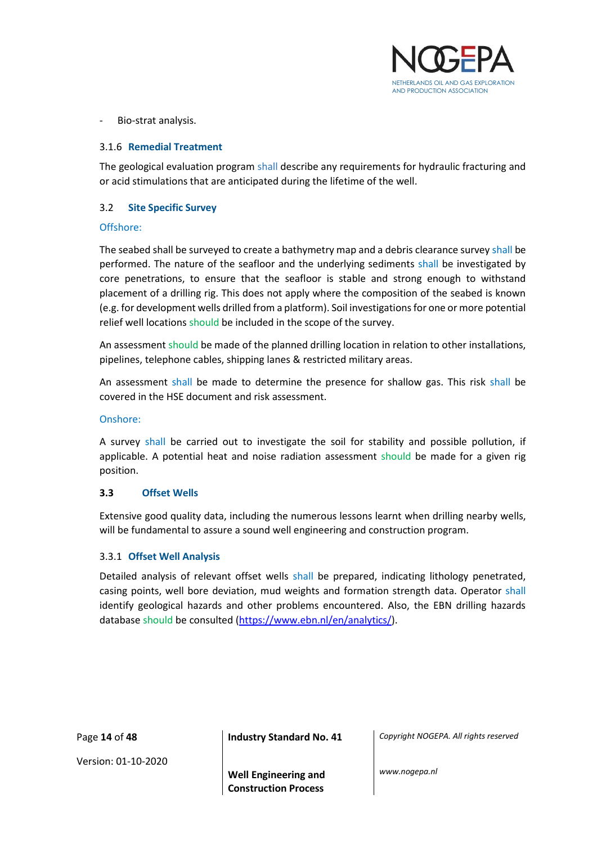

- Bio-strat analysis.

#### <span id="page-13-0"></span>3.1.6 **Remedial Treatment**

The geological evaluation program shall describe any requirements for hydraulic fracturing and or acid stimulations that are anticipated during the lifetime of the well.

#### <span id="page-13-1"></span>3.2 **Site Specific Survey**

#### Offshore:

The seabed shall be surveyed to create a bathymetry map and a debris clearance survey shall be performed. The nature of the seafloor and the underlying sediments shall be investigated by core penetrations, to ensure that the seafloor is stable and strong enough to withstand placement of a drilling rig. This does not apply where the composition of the seabed is known (e.g. for development wells drilled from a platform). Soil investigations for one or more potential relief well locations should be included in the scope of the survey.

An assessment should be made of the planned drilling location in relation to other installations, pipelines, telephone cables, shipping lanes & restricted military areas.

An assessment shall be made to determine the presence for shallow gas. This risk shall be covered in the HSE document and risk assessment.

#### Onshore:

A survey shall be carried out to investigate the soil for stability and possible pollution, if applicable. A potential heat and noise radiation assessment should be made for a given rig position.

#### **3.3 Offset Wells**

Extensive good quality data, including the numerous lessons learnt when drilling nearby wells, will be fundamental to assure a sound well engineering and construction program.

#### <span id="page-13-2"></span>3.3.1 **Offset Well Analysis**

Detailed analysis of relevant offset wells shall be prepared, indicating lithology penetrated, casing points, well bore deviation, mud weights and formation strength data. Operator shall identify geological hazards and other problems encountered. Also, the EBN drilling hazards database should be consulted [\(https://www.ebn.nl/en/analytics/\)](https://www.ebn.nl/en/analytics/).

Version: 01-10-2020

Page **14** of **48 Industry Standard No. 41** *Copyright NOGEPA. All rights reserved*

**Well Engineering and Construction Process**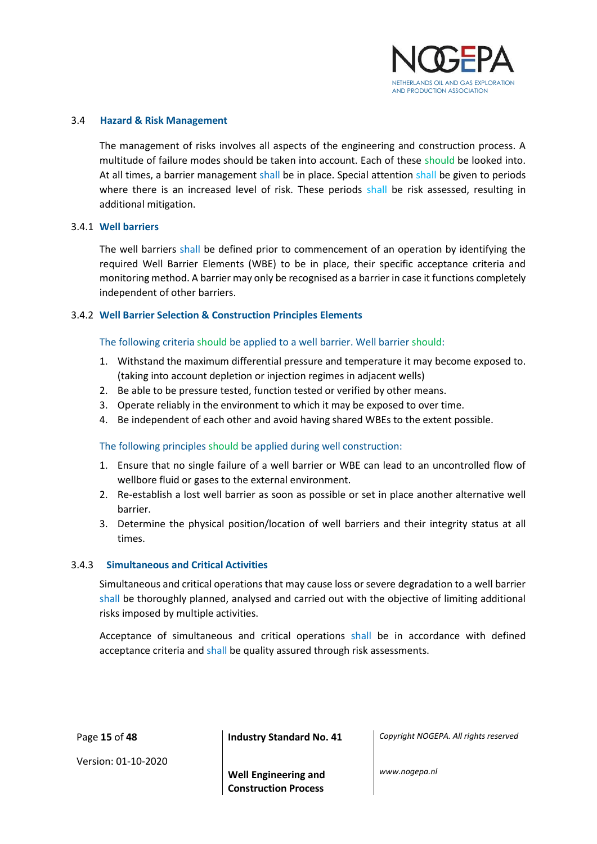

#### <span id="page-14-0"></span>3.4 **Hazard & Risk Management**

The management of risks involves all aspects of the engineering and construction process. A multitude of failure modes should be taken into account. Each of these should be looked into. At all times, a barrier management shall be in place. Special attention shall be given to periods where there is an increased level of risk. These periods shall be risk assessed, resulting in additional mitigation.

#### 3.4.1 **Well barriers**

The well barriers shall be defined prior to commencement of an operation by identifying the required Well Barrier Elements (WBE) to be in place, their specific acceptance criteria and monitoring method. A barrier may only be recognised as a barrier in case it functions completely independent of other barriers.

#### <span id="page-14-1"></span>3.4.2 **Well Barrier Selection & Construction Principles Elements**

The following criteria should be applied to a well barrier. Well barrier should:

- 1. Withstand the maximum differential pressure and temperature it may become exposed to. (taking into account depletion or injection regimes in adjacent wells)
- 2. Be able to be pressure tested, function tested or verified by other means.
- 3. Operate reliably in the environment to which it may be exposed to over time.
- 4. Be independent of each other and avoid having shared WBEs to the extent possible.

#### The following principles should be applied during well construction:

- 1. Ensure that no single failure of a well barrier or WBE can lead to an uncontrolled flow of wellbore fluid or gases to the external environment.
- 2. Re-establish a lost well barrier as soon as possible or set in place another alternative well barrier.
- 3. Determine the physical position/location of well barriers and their integrity status at all times.

#### <span id="page-14-2"></span>3.4.3 **Simultaneous and Critical Activities**

Simultaneous and critical operations that may cause loss or severe degradation to a well barrier shall be thoroughly planned, analysed and carried out with the objective of limiting additional risks imposed by multiple activities.

Acceptance of simultaneous and critical operations shall be in accordance with defined acceptance criteria and shall be quality assured through risk assessments.

Version: 01-10-2020

Page **15** of **48 Industry Standard No. 41** *Copyright NOGEPA. All rights reserved*

**Well Engineering and Construction Process**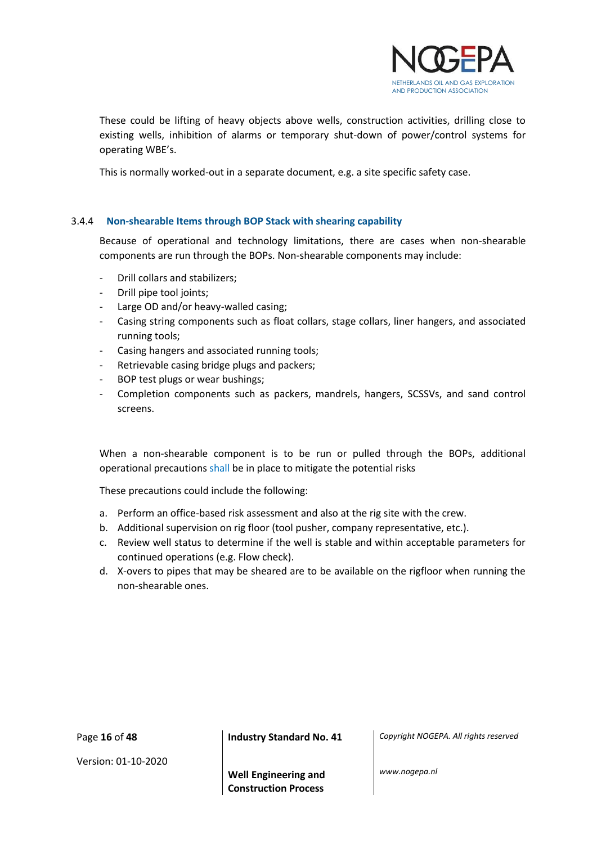

These could be lifting of heavy objects above wells, construction activities, drilling close to existing wells, inhibition of alarms or temporary shut-down of power/control systems for operating WBE's.

This is normally worked-out in a separate document, e.g. a site specific safety case.

#### <span id="page-15-0"></span>3.4.4 **Non-shearable Items through BOP Stack with shearing capability**

Because of operational and technology limitations, there are cases when non-shearable components are run through the BOPs. Non-shearable components may include:

- Drill collars and stabilizers;
- Drill pipe tool joints;
- Large OD and/or heavy-walled casing;
- Casing string components such as float collars, stage collars, liner hangers, and associated running tools;
- Casing hangers and associated running tools;
- Retrievable casing bridge plugs and packers;
- BOP test plugs or wear bushings;
- Completion components such as packers, mandrels, hangers, SCSSVs, and sand control screens.

When a non-shearable component is to be run or pulled through the BOPs, additional operational precautions shall be in place to mitigate the potential risks

These precautions could include the following:

- a. Perform an office-based risk assessment and also at the rig site with the crew.
- b. Additional supervision on rig floor (tool pusher, company representative, etc.).
- c. Review well status to determine if the well is stable and within acceptable parameters for continued operations (e.g. Flow check).
- d. X-overs to pipes that may be sheared are to be available on the rigfloor when running the non-shearable ones.

Version: 01-10-2020

Page **16** of **48 Industry Standard No. 41** *Copyright NOGEPA. All rights reserved*

**Well Engineering and Construction Process**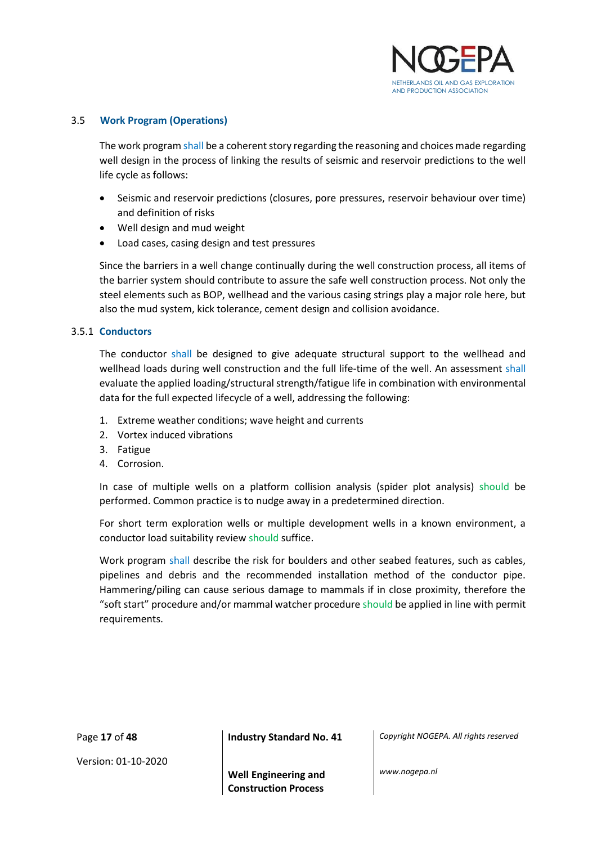

#### <span id="page-16-0"></span>3.5 **Work Program (Operations)**

The work program shall be a coherent story regarding the reasoning and choices made regarding well design in the process of linking the results of seismic and reservoir predictions to the well life cycle as follows:

- Seismic and reservoir predictions (closures, pore pressures, reservoir behaviour over time) and definition of risks
- Well design and mud weight
- Load cases, casing design and test pressures

Since the barriers in a well change continually during the well construction process, all items of the barrier system should contribute to assure the safe well construction process. Not only the steel elements such as BOP, wellhead and the various casing strings play a major role here, but also the mud system, kick tolerance, cement design and collision avoidance.

#### <span id="page-16-1"></span>3.5.1 **Conductors**

The conductor shall be designed to give adequate structural support to the wellhead and wellhead loads during well construction and the full life-time of the well. An assessment shall evaluate the applied loading/structural strength/fatigue life in combination with environmental data for the full expected lifecycle of a well, addressing the following:

- 1. Extreme weather conditions; wave height and currents
- 2. Vortex induced vibrations
- 3. Fatigue
- 4. Corrosion.

In case of multiple wells on a platform collision analysis (spider plot analysis) should be performed. Common practice is to nudge away in a predetermined direction.

For short term exploration wells or multiple development wells in a known environment, a conductor load suitability review should suffice.

Work program shall describe the risk for boulders and other seabed features, such as cables, pipelines and debris and the recommended installation method of the conductor pipe. Hammering/piling can cause serious damage to mammals if in close proximity, therefore the "soft start" procedure and/or mammal watcher procedure should be applied in line with permit requirements.

Version: 01-10-2020

Page **17** of **48 Industry Standard No. 41** *Copyright NOGEPA. All rights reserved*

**Well Engineering and Construction Process**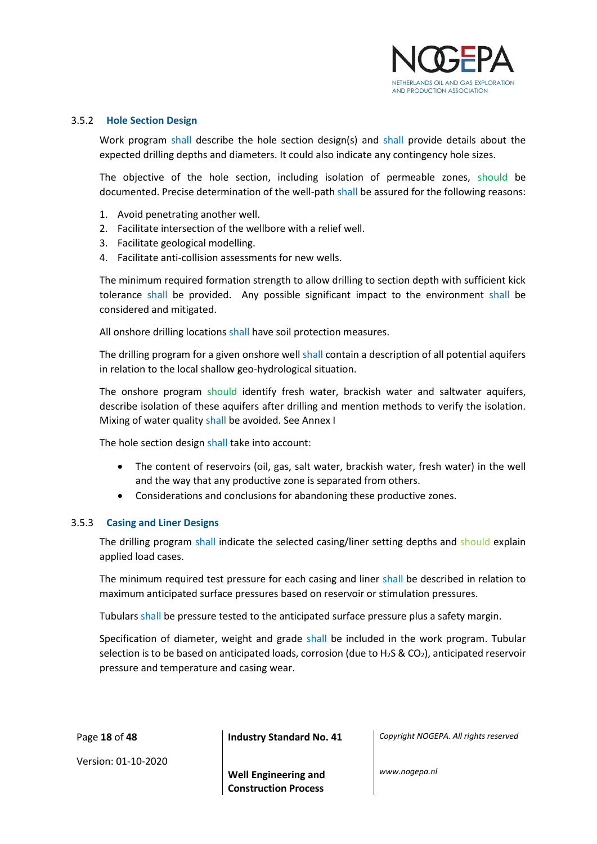

#### <span id="page-17-0"></span>3.5.2 **Hole Section Design**

Work program shall describe the hole section design(s) and shall provide details about the expected drilling depths and diameters. It could also indicate any contingency hole sizes.

The objective of the hole section, including isolation of permeable zones, should be documented. Precise determination of the well-path shall be assured for the following reasons:

- 1. Avoid penetrating another well.
- 2. Facilitate intersection of the wellbore with a relief well.
- 3. Facilitate geological modelling.
- 4. Facilitate anti-collision assessments for new wells.

The minimum required formation strength to allow drilling to section depth with sufficient kick tolerance shall be provided. Any possible significant impact to the environment shall be considered and mitigated.

All onshore drilling locations shall have soil protection measures.

The drilling program for a given onshore well shall contain a description of all potential aquifers in relation to the local shallow geo-hydrological situation.

The onshore program should identify fresh water, brackish water and saltwater aquifers, describe isolation of these aquifers after drilling and mention methods to verify the isolation. Mixing of water quality shall be avoided. See Annex I

The hole section design shall take into account:

- The content of reservoirs (oil, gas, salt water, brackish water, fresh water) in the well and the way that any productive zone is separated from others.
- Considerations and conclusions for abandoning these productive zones.

#### <span id="page-17-1"></span>3.5.3 **Casing and Liner Designs**

The drilling program shall indicate the selected casing/liner setting depths and should explain applied load cases.

The minimum required test pressure for each casing and liner shall be described in relation to maximum anticipated surface pressures based on reservoir or stimulation pressures.

Tubulars shall be pressure tested to the anticipated surface pressure plus a safety margin.

Specification of diameter, weight and grade shall be included in the work program. Tubular selection is to be based on anticipated loads, corrosion (due to  $H_2S \& CO_2$ ), anticipated reservoir pressure and temperature and casing wear.

Page **18** of **48 Industry Standard No. 41** *Copyright NOGEPA. All rights reserved*

Version: 01-10-2020

**Well Engineering and Construction Process**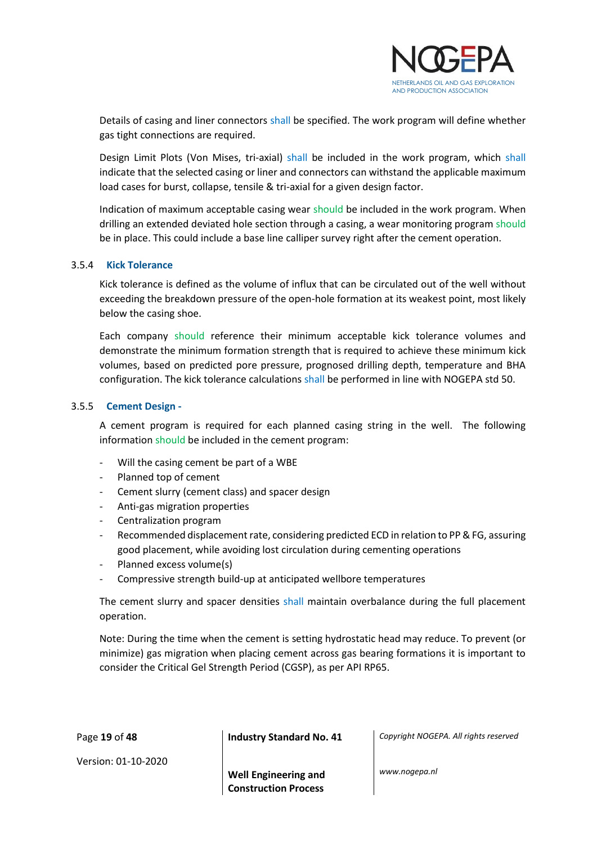

Details of casing and liner connectors shall be specified. The work program will define whether gas tight connections are required.

Design Limit Plots (Von Mises, tri-axial) shall be included in the work program, which shall indicate that the selected casing or liner and connectors can withstand the applicable maximum load cases for burst, collapse, tensile & tri-axial for a given design factor.

Indication of maximum acceptable casing wear should be included in the work program. When drilling an extended deviated hole section through a casing, a wear monitoring program should be in place. This could include a base line calliper survey right after the cement operation.

#### <span id="page-18-0"></span>3.5.4 **Kick Tolerance**

Kick tolerance is defined as the volume of influx that can be circulated out of the well without exceeding the breakdown pressure of the open-hole formation at its weakest point, most likely below the casing shoe.

Each company should reference their minimum acceptable kick tolerance volumes and demonstrate the minimum formation strength that is required to achieve these minimum kick volumes, based on predicted pore pressure, prognosed drilling depth, temperature and BHA configuration. The kick tolerance calculations shall be performed in line with NOGEPA std 50.

#### <span id="page-18-1"></span>3.5.5 **Cement Design -**

A cement program is required for each planned casing string in the well. The following information should be included in the cement program:

- Will the casing cement be part of a WBE
- Planned top of cement
- Cement slurry (cement class) and spacer design
- Anti-gas migration properties
- Centralization program
- Recommended displacement rate, considering predicted ECD in relation to PP & FG, assuring good placement, while avoiding lost circulation during cementing operations
- Planned excess volume(s)
- Compressive strength build-up at anticipated wellbore temperatures

The cement slurry and spacer densities shall maintain overbalance during the full placement operation.

Note: During the time when the cement is setting hydrostatic head may reduce. To prevent (or minimize) gas migration when placing cement across gas bearing formations it is important to consider the Critical Gel Strength Period (CGSP), as per API RP65.

| Page 19 of 48 | <b>Industry Standard No. 41</b> | Copyright NOGEPA. All rights reserved |
|---------------|---------------------------------|---------------------------------------|
|               |                                 |                                       |

Version: 01-10-2020

**Well Engineering and Construction Process**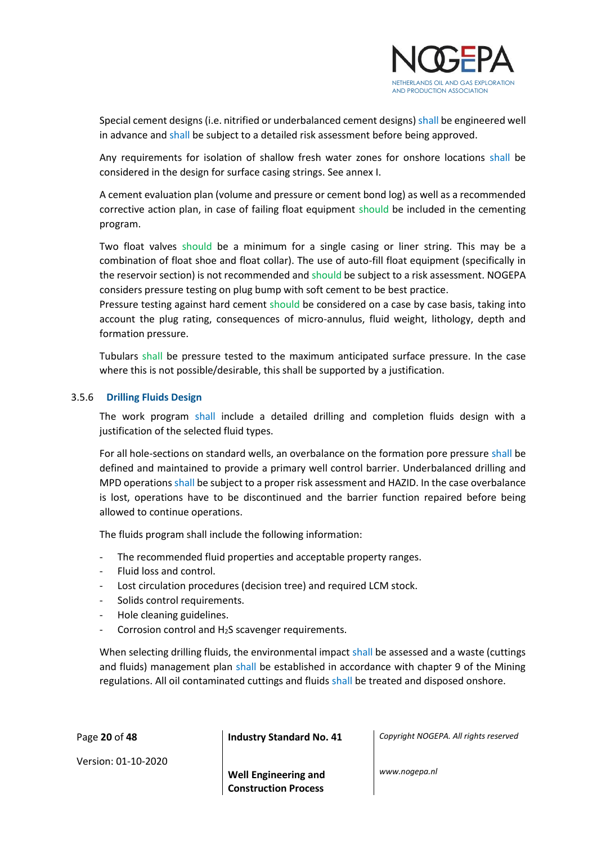

Special cement designs (i.e. nitrified or underbalanced cement designs) shall be engineered well in advance and shall be subject to a detailed risk assessment before being approved.

Any requirements for isolation of shallow fresh water zones for onshore locations shall be considered in the design for surface casing strings. See annex I.

A cement evaluation plan (volume and pressure or cement bond log) as well as a recommended corrective action plan, in case of failing float equipment should be included in the cementing program.

Two float valves should be a minimum for a single casing or liner string. This may be a combination of float shoe and float collar). The use of auto-fill float equipment (specifically in the reservoir section) is not recommended and should be subject to a risk assessment. NOGEPA considers pressure testing on plug bump with soft cement to be best practice.

Pressure testing against hard cement should be considered on a case by case basis, taking into account the plug rating, consequences of micro-annulus, fluid weight, lithology, depth and formation pressure.

Tubulars shall be pressure tested to the maximum anticipated surface pressure. In the case where this is not possible/desirable, this shall be supported by a justification.

#### <span id="page-19-0"></span>3.5.6 **Drilling Fluids Design**

The work program shall include a detailed drilling and completion fluids design with a justification of the selected fluid types.

For all hole-sections on standard wells, an overbalance on the formation pore pressure shall be defined and maintained to provide a primary well control barrier. Underbalanced drilling and MPD operations shall be subject to a proper risk assessment and HAZID. In the case overbalance is lost, operations have to be discontinued and the barrier function repaired before being allowed to continue operations.

The fluids program shall include the following information:

- The recommended fluid properties and acceptable property ranges.
- Fluid loss and control.
- Lost circulation procedures (decision tree) and required LCM stock.
- Solids control requirements.
- Hole cleaning guidelines.
- Corrosion control and  $H_2S$  scavenger requirements.

When selecting drilling fluids, the environmental impact shall be assessed and a waste (cuttings and fluids) management plan shall be established in accordance with chapter 9 of the Mining regulations. All oil contaminated cuttings and fluids shall be treated and disposed onshore.

| Page 20 of 48       | Industry Standard No. 41 | Copyright NOGEPA. All rights reserved |
|---------------------|--------------------------|---------------------------------------|
| Version: 01-10-2020 |                          |                                       |

**Well Engineering and Construction Process**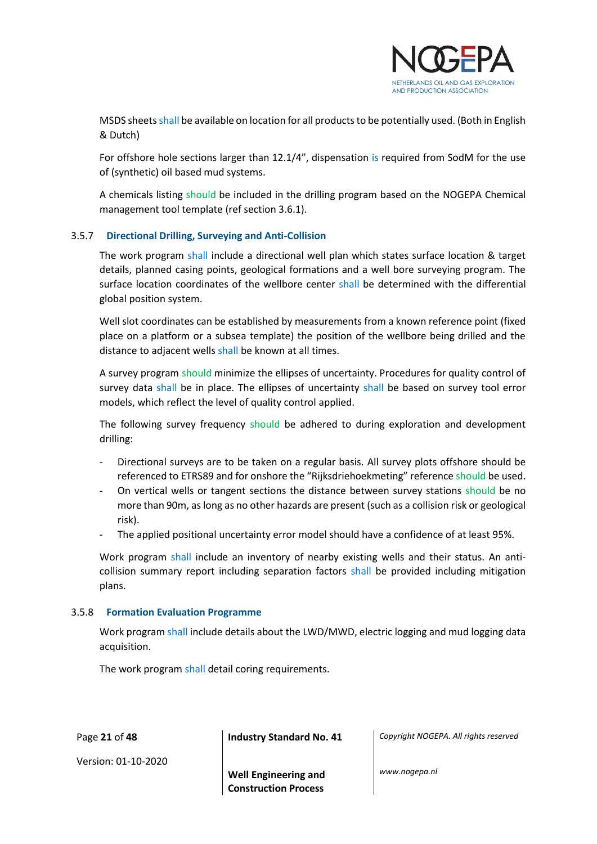

MSDS sheets shall be available on location for all products to be potentially used. (Both in English & Dutch)

For offshore hole sections larger than 12.1/4", dispensation is required from SodM for the use of (synthetic) oil based mud systems.

A chemicals listing should be included in the drilling program based on the NOGEPA Chemical management tool template (ref section 3.6.1).

#### <span id="page-20-0"></span>3.5.7 **Directional Drilling, Surveying and Anti-Collision**

The work program shall include a directional well plan which states surface location & target details, planned casing points, geological formations and a well bore surveying program. The surface location coordinates of the wellbore center shall be determined with the differential global position system.

Well slot coordinates can be established by measurements from a known reference point (fixed place on a platform or a subsea template) the position of the wellbore being drilled and the distance to adjacent wells shall be known at all times.

A survey program should minimize the ellipses of uncertainty. Procedures for quality control of survey data shall be in place. The ellipses of uncertainty shall be based on survey tool error models, which reflect the level of quality control applied.

The following survey frequency should be adhered to during exploration and development drilling:

- Directional surveys are to be taken on a regular basis. All survey plots offshore should be referenced to ETRS89 and for onshore the "Rijksdriehoekmeting" reference should be used.
- On vertical wells or tangent sections the distance between survey stations should be no more than 90m, as long as no other hazards are present (such as a collision risk or geological risk).
- The applied positional uncertainty error model should have a confidence of at least 95%.

Work program shall include an inventory of nearby existing wells and their status. An anticollision summary report including separation factors shall be provided including mitigation plans.

#### <span id="page-20-1"></span>3.5.8 **Formation Evaluation Programme**

Work program shall include details about the LWD/MWD, electric logging and mud logging data acquisition.

The work program shall detail coring requirements.

Page **21** of **48 Industry Standard No. 41** *Copyright NOGEPA. All rights reserved*

Version: 01-10-2020

**Well Engineering and Construction Process**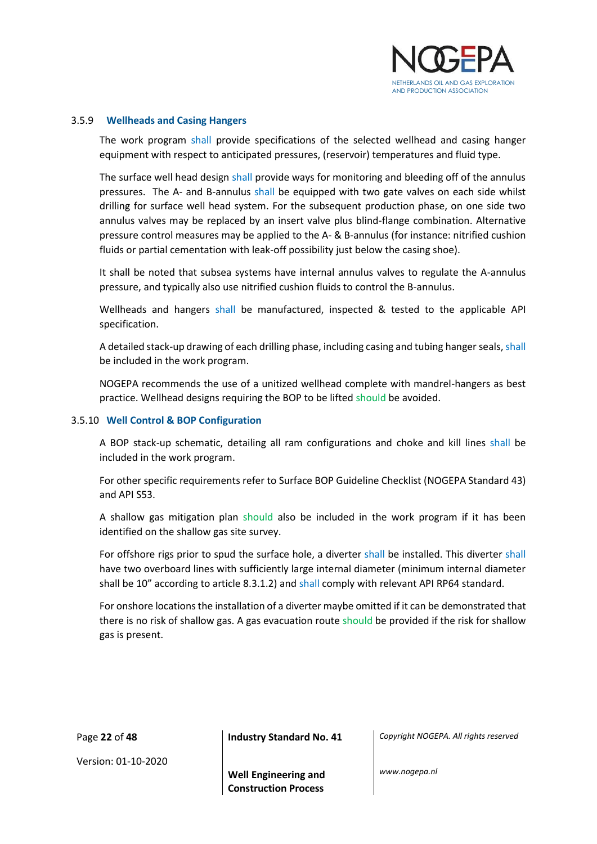

#### <span id="page-21-0"></span>3.5.9 **Wellheads and Casing Hangers**

The work program shall provide specifications of the selected wellhead and casing hanger equipment with respect to anticipated pressures, (reservoir) temperatures and fluid type.

The surface well head design shall provide ways for monitoring and bleeding off of the annulus pressures. The A- and B-annulus shall be equipped with two gate valves on each side whilst drilling for surface well head system. For the subsequent production phase, on one side two annulus valves may be replaced by an insert valve plus blind-flange combination. Alternative pressure control measures may be applied to the A- & B-annulus (for instance: nitrified cushion fluids or partial cementation with leak-off possibility just below the casing shoe).

It shall be noted that subsea systems have internal annulus valves to regulate the A-annulus pressure, and typically also use nitrified cushion fluids to control the B-annulus.

Wellheads and hangers shall be manufactured, inspected & tested to the applicable API specification.

A detailed stack-up drawing of each drilling phase, including casing and tubing hanger seals, shall be included in the work program.

NOGEPA recommends the use of a unitized wellhead complete with mandrel-hangers as best practice. Wellhead designs requiring the BOP to be lifted should be avoided.

#### 3.5.10 **Well Control & BOP Configuration**

A BOP stack-up schematic, detailing all ram configurations and choke and kill lines shall be included in the work program.

For other specific requirements refer to Surface BOP Guideline Checklist (NOGEPA Standard 43) and API S53.

A shallow gas mitigation plan should also be included in the work program if it has been identified on the shallow gas site survey.

For offshore rigs prior to spud the surface hole, a diverter shall be installed. This diverter shall have two overboard lines with sufficiently large internal diameter (minimum internal diameter shall be 10" according to article 8.3.1.2) and shall comply with relevant API RP64 standard.

For onshore locations the installation of a diverter maybe omitted if it can be demonstrated that there is no risk of shallow gas. A gas evacuation route should be provided if the risk for shallow gas is present.

Version: 01-10-2020

Page **22** of **48 Industry Standard No. 41** *Copyright NOGEPA. All rights reserved*

**Well Engineering and Construction Process**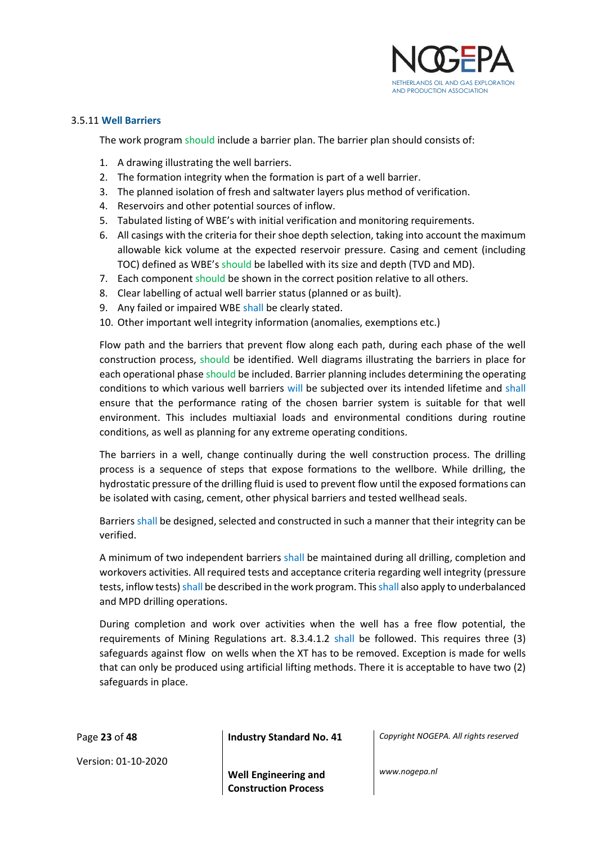

#### <span id="page-22-0"></span>3.5.11 **Well Barriers**

The work program should include a barrier plan. The barrier plan should consists of:

- 1. A drawing illustrating the well barriers.
- 2. The formation integrity when the formation is part of a well barrier.
- 3. The planned isolation of fresh and saltwater layers plus method of verification.
- 4. Reservoirs and other potential sources of inflow.
- 5. Tabulated listing of WBE's with initial verification and monitoring requirements.
- 6. All casings with the criteria for their shoe depth selection, taking into account the maximum allowable kick volume at the expected reservoir pressure. Casing and cement (including TOC) defined as WBE's should be labelled with its size and depth (TVD and MD).
- 7. Each component should be shown in the correct position relative to all others.
- 8. Clear labelling of actual well barrier status (planned or as built).
- 9. Any failed or impaired WBE shall be clearly stated.
- 10. Other important well integrity information (anomalies, exemptions etc.)

Flow path and the barriers that prevent flow along each path, during each phase of the well construction process, should be identified. Well diagrams illustrating the barriers in place for each operational phase should be included. Barrier planning includes determining the operating conditions to which various well barriers will be subjected over its intended lifetime and shall ensure that the performance rating of the chosen barrier system is suitable for that well environment. This includes multiaxial loads and environmental conditions during routine conditions, as well as planning for any extreme operating conditions.

The barriers in a well, change continually during the well construction process. The drilling process is a sequence of steps that expose formations to the wellbore. While drilling, the hydrostatic pressure of the drilling fluid is used to prevent flow until the exposed formations can be isolated with casing, cement, other physical barriers and tested wellhead seals.

Barriers shall be designed, selected and constructed in such a manner that their integrity can be verified.

A minimum of two independent barriers shall be maintained during all drilling, completion and workovers activities. All required tests and acceptance criteria regarding well integrity (pressure tests, inflow tests) shall be described in the work program. This shall also apply to underbalanced and MPD drilling operations.

During completion and work over activities when the well has a free flow potential, the requirements of Mining Regulations art. 8.3.4.1.2 shall be followed. This requires three (3) safeguards against flow on wells when the XT has to be removed. Exception is made for wells that can only be produced using artificial lifting methods. There it is acceptable to have two (2) safeguards in place.

Version: 01-10-2020

Page **23** of **48 Industry Standard No. 41** *Copyright NOGEPA. All rights reserved*

**Well Engineering and Construction Process**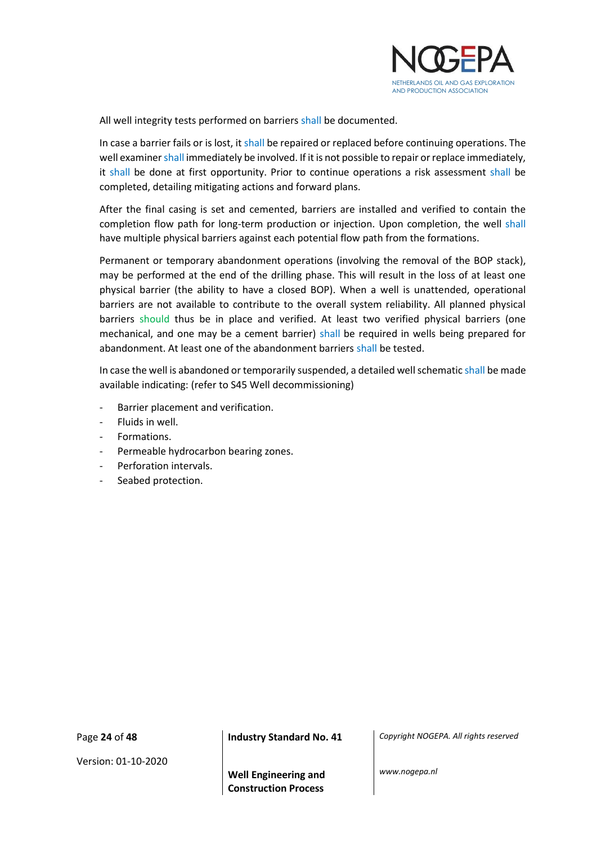

All well integrity tests performed on barriers shall be documented.

In case a barrier fails or is lost, it shall be repaired or replaced before continuing operations. The well examiner shall immediately be involved. If it is not possible to repair or replace immediately, it shall be done at first opportunity. Prior to continue operations a risk assessment shall be completed, detailing mitigating actions and forward plans.

After the final casing is set and cemented, barriers are installed and verified to contain the completion flow path for long-term production or injection. Upon completion, the well shall have multiple physical barriers against each potential flow path from the formations.

Permanent or temporary abandonment operations (involving the removal of the BOP stack), may be performed at the end of the drilling phase. This will result in the loss of at least one physical barrier (the ability to have a closed BOP). When a well is unattended, operational barriers are not available to contribute to the overall system reliability. All planned physical barriers should thus be in place and verified. At least two verified physical barriers (one mechanical, and one may be a cement barrier) shall be required in wells being prepared for abandonment. At least one of the abandonment barriers shall be tested.

In case the well is abandoned or temporarily suspended, a detailed well schematic shall be made available indicating: (refer to S45 Well decommissioning)

- Barrier placement and verification.
- Fluids in well.
- Formations.
- Permeable hydrocarbon bearing zones.
- Perforation intervals.
- Seabed protection.

Version: 01-10-2020

Page **24** of **48 Industry Standard No. 41** *Copyright NOGEPA. All rights reserved*

**Well Engineering and Construction Process**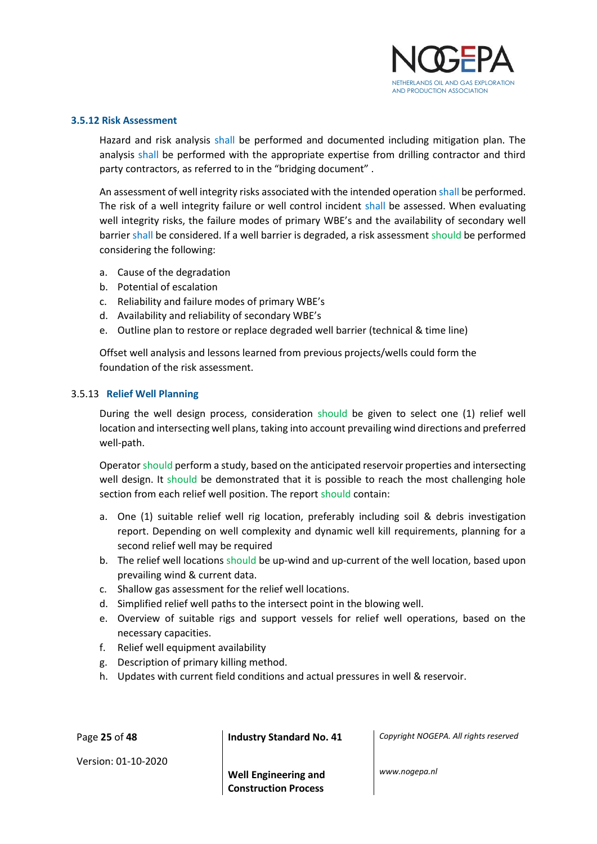

#### <span id="page-24-0"></span>**3.5.12 Risk Assessment**

Hazard and risk analysis shall be performed and documented including mitigation plan. The analysis shall be performed with the appropriate expertise from drilling contractor and third party contractors, as referred to in the "bridging document" .

An assessment of well integrity risks associated with the intended operation shall be performed. The risk of a well integrity failure or well control incident shall be assessed. When evaluating well integrity risks, the failure modes of primary WBE's and the availability of secondary well barrier shall be considered. If a well barrier is degraded, a risk assessment should be performed considering the following:

- a. Cause of the degradation
- b. Potential of escalation
- c. Reliability and failure modes of primary WBE's
- d. Availability and reliability of secondary WBE's
- e. Outline plan to restore or replace degraded well barrier (technical & time line)

Offset well analysis and lessons learned from previous projects/wells could form the foundation of the risk assessment.

#### <span id="page-24-1"></span>3.5.13 **Relief Well Planning**

During the well design process, consideration should be given to select one (1) relief well location and intersecting well plans, taking into account prevailing wind directions and preferred well-path.

Operator should perform a study, based on the anticipated reservoir properties and intersecting well design. It should be demonstrated that it is possible to reach the most challenging hole section from each relief well position. The report should contain:

- a. One (1) suitable relief well rig location, preferably including soil & debris investigation report. Depending on well complexity and dynamic well kill requirements, planning for a second relief well may be required
- b. The relief well locations should be up-wind and up-current of the well location, based upon prevailing wind & current data.
- c. Shallow gas assessment for the relief well locations.
- d. Simplified relief well paths to the intersect point in the blowing well.
- e. Overview of suitable rigs and support vessels for relief well operations, based on the necessary capacities.
- f. Relief well equipment availability
- g. Description of primary killing method.
- h. Updates with current field conditions and actual pressures in well & reservoir.

| Page 25 of 48       | <b>Industry Standard No. 41</b> | Copyright NOGEPA. All rights reserved |
|---------------------|---------------------------------|---------------------------------------|
| Version: 01-10-2020 |                                 |                                       |
|                     | <b>Well Engineering and</b>     | www.nogepa.nl                         |
|                     | <b>Construction Process</b>     |                                       |

 $\mathsf{l}$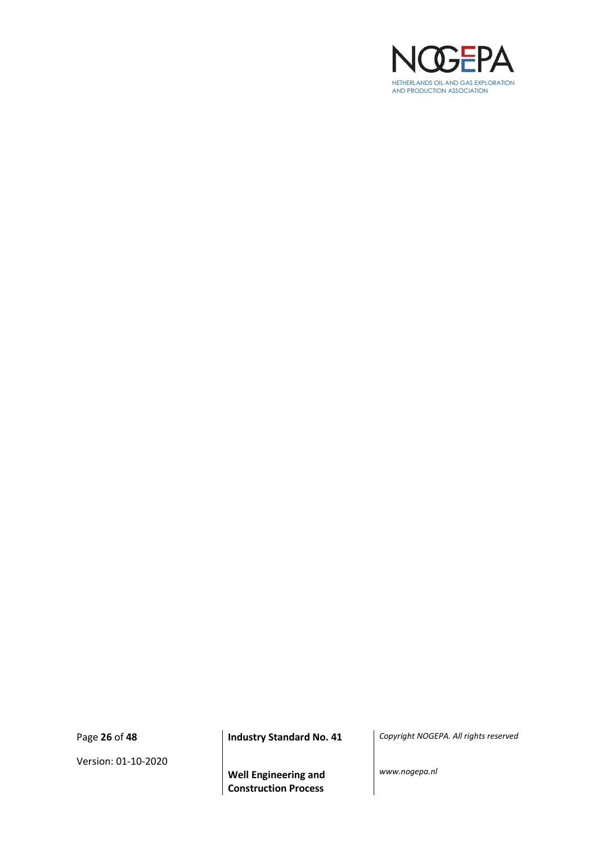

Version: 01-10-2020

**Well Engineering and Construction Process**

Page **26** of **48 Industry Standard No. 41** *Copyright NOGEPA. All rights reserved*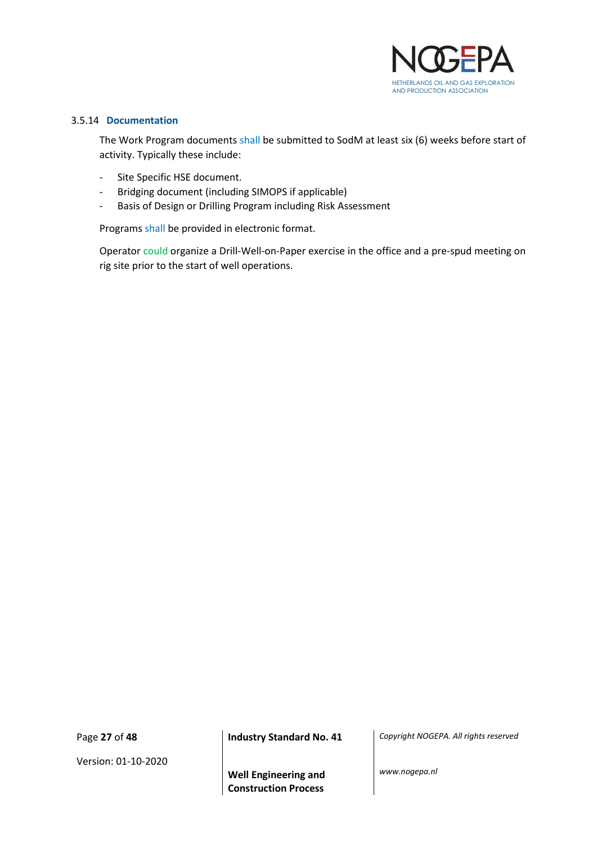

#### <span id="page-26-0"></span>3.5.14 **Documentation**

The Work Program documents shall be submitted to SodM at least six (6) weeks before start of activity. Typically these include:

- Site Specific HSE document.
- Bridging document (including SIMOPS if applicable)
- Basis of Design or Drilling Program including Risk Assessment

Programs shall be provided in electronic format.

Operator could organize a Drill-Well-on-Paper exercise in the office and a pre-spud meeting on rig site prior to the start of well operations.

Version: 01-10-2020

**Well Engineering and Construction Process**

Page **27** of **48 Industry Standard No. 41** *Copyright NOGEPA. All rights reserved*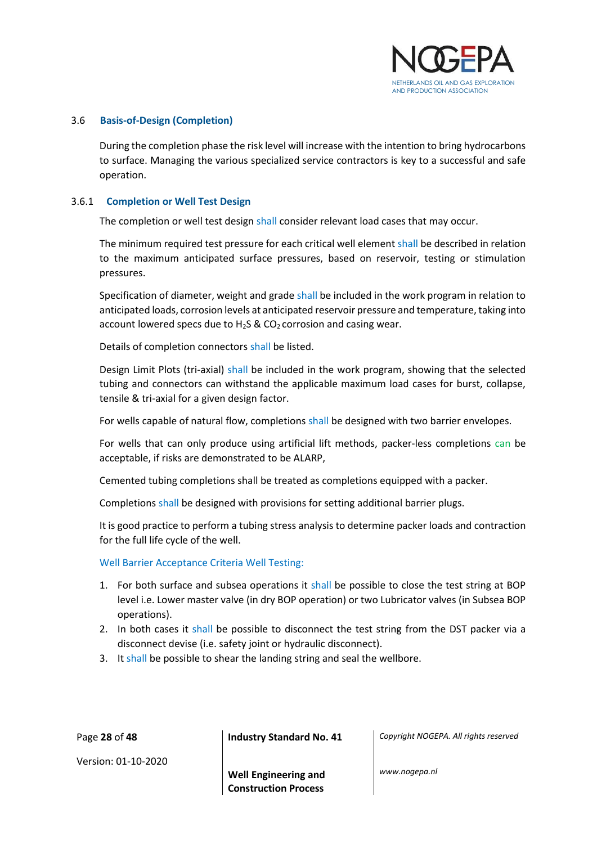

#### <span id="page-27-0"></span>3.6 **Basis-of-Design (Completion)**

During the completion phase the risk level will increase with the intention to bring hydrocarbons to surface. Managing the various specialized service contractors is key to a successful and safe operation.

#### <span id="page-27-1"></span>3.6.1 **Completion or Well Test Design**

The completion or well test design shall consider relevant load cases that may occur.

The minimum required test pressure for each critical well element shall be described in relation to the maximum anticipated surface pressures, based on reservoir, testing or stimulation pressures.

Specification of diameter, weight and grade shall be included in the work program in relation to anticipated loads, corrosion levels at anticipated reservoir pressure and temperature, taking into account lowered specs due to  $H_2S$  &  $CO_2$  corrosion and casing wear.

Details of completion connectors shall be listed.

Design Limit Plots (tri-axial) shall be included in the work program, showing that the selected tubing and connectors can withstand the applicable maximum load cases for burst, collapse, tensile & tri-axial for a given design factor.

For wells capable of natural flow, completions shall be designed with two barrier envelopes.

For wells that can only produce using artificial lift methods, packer-less completions can be acceptable, if risks are demonstrated to be ALARP,

Cemented tubing completions shall be treated as completions equipped with a packer.

Completions shall be designed with provisions for setting additional barrier plugs.

It is good practice to perform a tubing stress analysis to determine packer loads and contraction for the full life cycle of the well.

Well Barrier Acceptance Criteria Well Testing:

- 1. For both surface and subsea operations it shall be possible to close the test string at BOP level i.e. Lower master valve (in dry BOP operation) or two Lubricator valves (in Subsea BOP operations).
- 2. In both cases it shall be possible to disconnect the test string from the DST packer via a disconnect devise (i.e. safety joint or hydraulic disconnect).
- 3. It shall be possible to shear the landing string and seal the wellbore.

| Page 28 of 48 |  |
|---------------|--|
|---------------|--|

Page **28** of **48 Industry Standard No. 41** *Copyright NOGEPA. All rights reserved*

Version: 01-10-2020

**Well Engineering and Construction Process**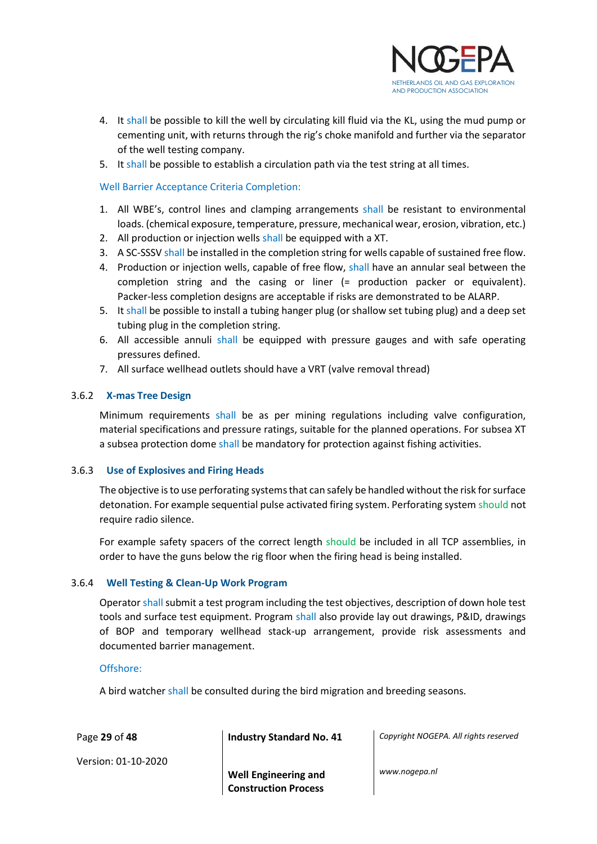

- 4. It shall be possible to kill the well by circulating kill fluid via the KL, using the mud pump or cementing unit, with returns through the rig's choke manifold and further via the separator of the well testing company.
- 5. It shall be possible to establish a circulation path via the test string at all times.

Well Barrier Acceptance Criteria Completion:

- 1. All WBE's, control lines and clamping arrangements shall be resistant to environmental loads. (chemical exposure, temperature, pressure, mechanical wear, erosion, vibration, etc.)
- 2. All production or injection wells shall be equipped with a XT.
- 3. A SC-SSSV shall be installed in the completion string for wells capable of sustained free flow.
- 4. Production or injection wells, capable of free flow, shall have an annular seal between the completion string and the casing or liner (= production packer or equivalent). Packer-less completion designs are acceptable if risks are demonstrated to be ALARP.
- 5. It shall be possible to install a tubing hanger plug (or shallow set tubing plug) and a deep set tubing plug in the completion string.
- 6. All accessible annuli shall be equipped with pressure gauges and with safe operating pressures defined.
- 7. All surface wellhead outlets should have a VRT (valve removal thread)

#### <span id="page-28-0"></span>3.6.2 **X-mas Tree Design**

Minimum requirements shall be as per mining regulations including valve configuration, material specifications and pressure ratings, suitable for the planned operations. For subsea XT a subsea protection dome shall be mandatory for protection against fishing activities.

#### <span id="page-28-1"></span>3.6.3 **Use of Explosives and Firing Heads**

The objective is to use perforating systems that can safely be handled without the risk for surface detonation. For example sequential pulse activated firing system. Perforating system should not require radio silence.

For example safety spacers of the correct length should be included in all TCP assemblies, in order to have the guns below the rig floor when the firing head is being installed.

#### <span id="page-28-2"></span>3.6.4 **Well Testing & Clean-Up Work Program**

Operator shall submit a test program including the test objectives, description of down hole test tools and surface test equipment. Program shall also provide lay out drawings, P&ID, drawings of BOP and temporary wellhead stack-up arrangement, provide risk assessments and documented barrier management.

#### Offshore:

A bird watcher shall be consulted during the bird migration and breeding seasons.

Page **29** of **48 Industry Standard No. 41** *Copyright NOGEPA. All rights reserved*

Version: 01-10-2020

**Well Engineering and Construction Process**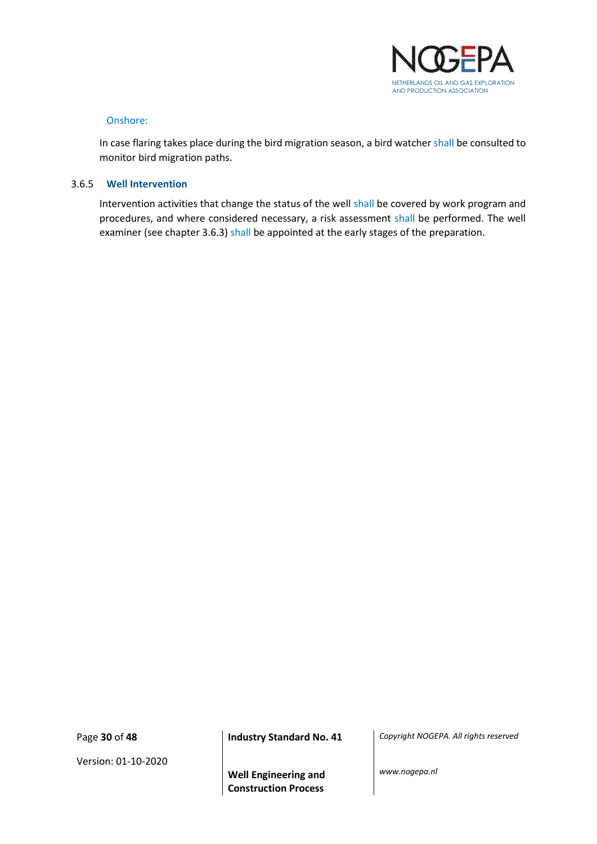

#### Onshore:

In case flaring takes place during the bird migration season, a bird watcher shall be consulted to monitor bird migration paths.

#### <span id="page-29-0"></span>3.6.5 **Well Intervention**

Intervention activities that change the status of the well shall be covered by work program and procedures, and where considered necessary, a risk assessment shall be performed. The well examiner (see chapter 3.6.3) shall be appointed at the early stages of the preparation.

Version: 01-10-2020

**Well Engineering and Construction Process**

Page **30** of **48 Industry Standard No. 41** *Copyright NOGEPA. All rights reserved*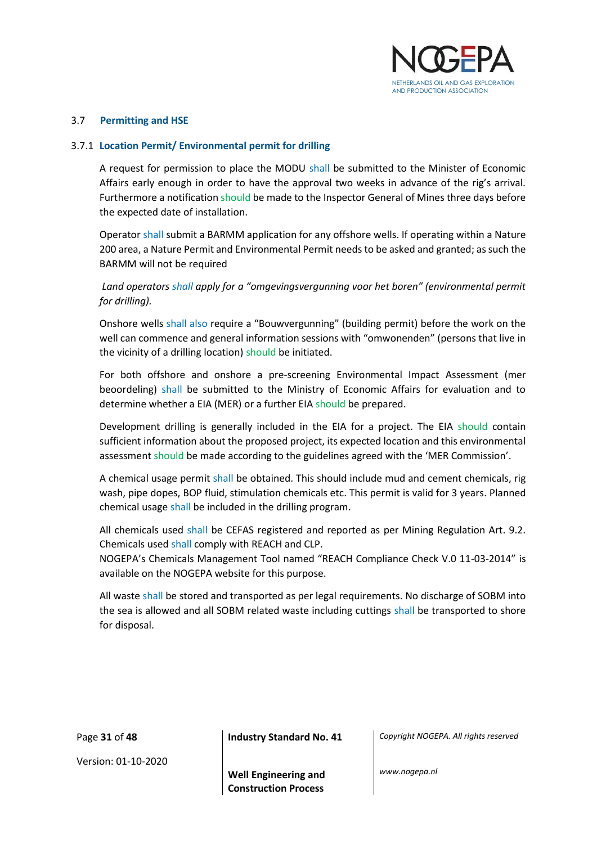

#### <span id="page-30-0"></span>3.7 **Permitting and HSE**

#### 3.7.1 **Location Permit/ Environmental permit for drilling**

A request for permission to place the MODU shall be submitted to the Minister of Economic Affairs early enough in order to have the approval two weeks in advance of the rig's arrival. Furthermore a notification should be made to the Inspector General of Mines three days before the expected date of installation.

Operator shall submit a BARMM application for any offshore wells. If operating within a Nature 200 area, a Nature Permit and Environmental Permit needs to be asked and granted; as such the BARMM will not be required

*Land operators shall apply for a "omgevingsvergunning voor het boren" (environmental permit for drilling).* 

Onshore wells shall also require a "Bouwvergunning" (building permit) before the work on the well can commence and general information sessions with "omwonenden" (persons that live in the vicinity of a drilling location) should be initiated.

For both offshore and onshore a pre-screening Environmental Impact Assessment (mer beoordeling) shall be submitted to the Ministry of Economic Affairs for evaluation and to determine whether a EIA (MER) or a further EIA should be prepared.

Development drilling is generally included in the EIA for a project. The EIA should contain sufficient information about the proposed project, its expected location and this environmental assessment should be made according to the guidelines agreed with the 'MER Commission'.

A chemical usage permit shall be obtained. This should include mud and cement chemicals, rig wash, pipe dopes, BOP fluid, stimulation chemicals etc. This permit is valid for 3 years. Planned chemical usage shall be included in the drilling program.

All chemicals used shall be CEFAS registered and reported as per Mining Regulation Art. 9.2. Chemicals used shall comply with REACH and CLP.

NOGEPA's Chemicals Management Tool named "REACH Compliance Check V.0 11-03-2014" is available on the NOGEPA website for this purpose.

All waste shall be stored and transported as per legal requirements. No discharge of SOBM into the sea is allowed and all SOBM related waste including cuttings shall be transported to shore for disposal.

Version: 01-10-2020

Page **31** of **48 Industry Standard No. 41** *Copyright NOGEPA. All rights reserved*

**Well Engineering and Construction Process**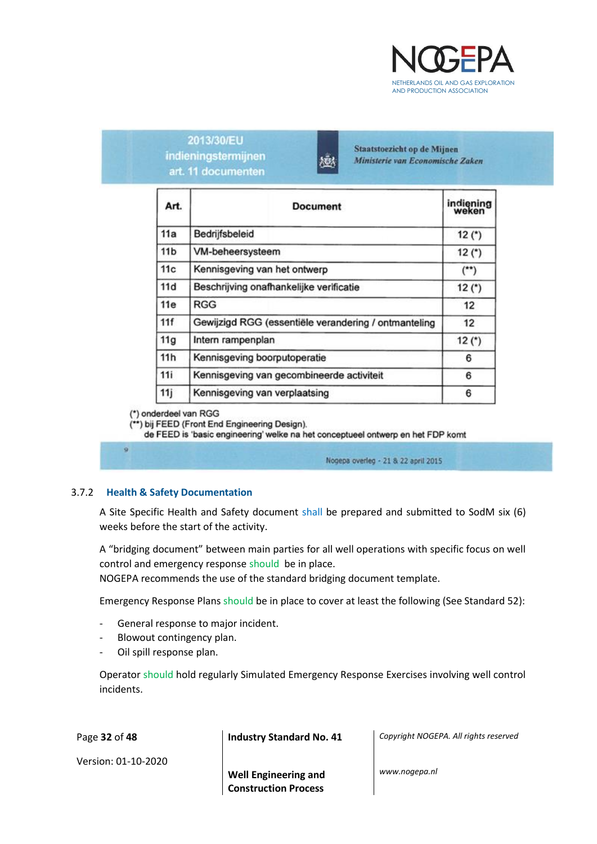

## 2013/30/EU indieningstermijnen art. 11 documenten

感

Staatstoezicht op de Mijnen Ministerie van Economische Zaken

| Art.            | <b>Document</b>                                      | indiening<br>weken |
|-----------------|------------------------------------------------------|--------------------|
| 11a             | Bedrijfsbeleid                                       | 12 $(*)$           |
| 11 <sub>b</sub> | VM-beheersysteem                                     | 12 $($ *)          |
| 11 <sub>c</sub> | Kennisgeving van het ontwerp                         | $($ **)            |
| 11d             | Beschrijving onafhankelijke verificatie              | $12$ (*)           |
| 11e             | <b>RGG</b>                                           | 12                 |
| 11f             | Gewijzigd RGG (essentiële verandering / ontmanteling | 12                 |
| 11g             | Intern rampenplan                                    | $12($ *)           |
| 11h             | Kennisgeving boorputoperatie                         | 6                  |
| 11i             | Kennisgeving van gecombineerde activiteit            | 6                  |
| 11j             | Kennisgeving van verplaatsing                        | 6                  |

(\*) onderdeel van RGG

(\*\*) bij FEED (Front End Engineering Design).

de FEED is 'basic engineering' welke na het conceptueel ontwerp en het FDP komt

Nogepa overleg - 21 & 22 april 2015

#### <span id="page-31-0"></span>3.7.2 **Health & Safety Documentation**

9

A Site Specific Health and Safety document shall be prepared and submitted to SodM six (6) weeks before the start of the activity.

A "bridging document" between main parties for all well operations with specific focus on well control and emergency response should be in place.

NOGEPA recommends the use of the standard bridging document template.

Emergency Response Plans should be in place to cover at least the following (See Standard 52):

- General response to major incident.
- Blowout contingency plan.
- Oil spill response plan.

Operator should hold regularly Simulated Emergency Response Exercises involving well control incidents.

| Page 32 of 48       | Industry Standard No. 41 | Copyright NOGEPA. All rights reserved |
|---------------------|--------------------------|---------------------------------------|
| Version: 01-10-2020 |                          | $\ldots$                              |

**Well Engineering and Construction Process**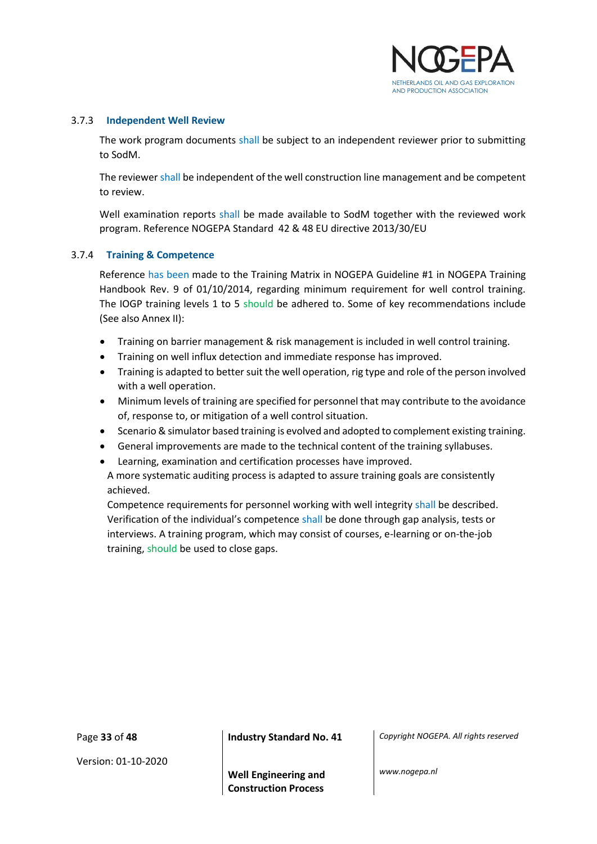

#### <span id="page-32-0"></span>3.7.3 **Independent Well Review**

The work program documents shall be subject to an independent reviewer prior to submitting to SodM.

The reviewer shall be independent of the well construction line management and be competent to review.

Well examination reports shall be made available to SodM together with the reviewed work program. Reference NOGEPA Standard 42 & 48 EU directive 2013/30/EU

#### <span id="page-32-1"></span>3.7.4 **Training & Competence**

Reference has been made to the Training Matrix in NOGEPA Guideline #1 in NOGEPA Training Handbook Rev. 9 of 01/10/2014, regarding minimum requirement for well control training. The IOGP training levels 1 to 5 should be adhered to. Some of key recommendations include (See also Annex II):

- Training on barrier management & risk management is included in well control training.
- Training on well influx detection and immediate response has improved.
- Training is adapted to better suit the well operation, rig type and role of the person involved with a well operation.
- Minimum levels of training are specified for personnel that may contribute to the avoidance of, response to, or mitigation of a well control situation.
- Scenario & simulator based training is evolved and adopted to complement existing training.
- General improvements are made to the technical content of the training syllabuses.
- Learning, examination and certification processes have improved.

A more systematic auditing process is adapted to assure training goals are consistently achieved.

Competence requirements for personnel working with well integrity shall be described. Verification of the individual's competence shall be done through gap analysis, tests or interviews. A training program, which may consist of courses, e-learning or on-the-job training, should be used to close gaps.

Version: 01-10-2020

Page **33** of **48 Industry Standard No. 41** *Copyright NOGEPA. All rights reserved*

**Well Engineering and Construction Process**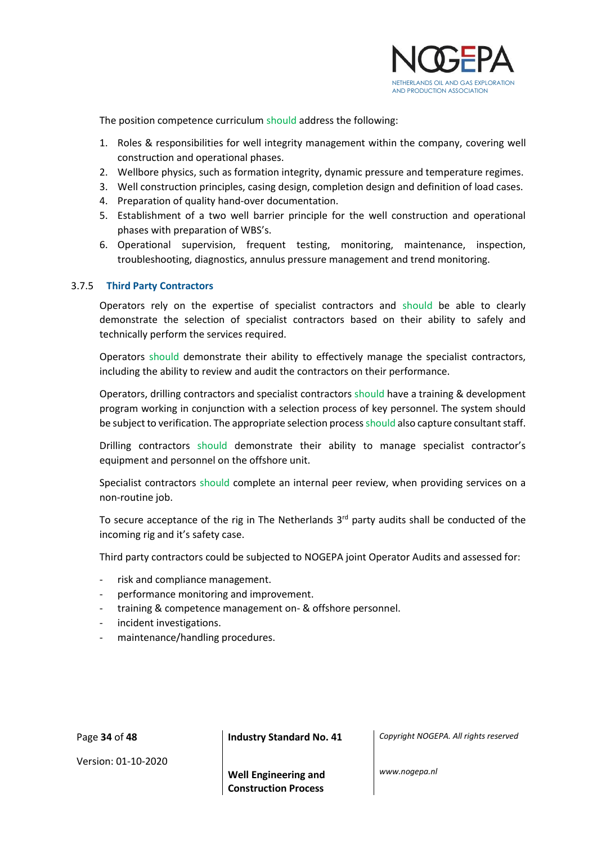

The position competence curriculum should address the following:

- 1. Roles & responsibilities for well integrity management within the company, covering well construction and operational phases.
- 2. Wellbore physics, such as formation integrity, dynamic pressure and temperature regimes.
- 3. Well construction principles, casing design, completion design and definition of load cases.
- 4. Preparation of quality hand-over documentation.
- 5. Establishment of a two well barrier principle for the well construction and operational phases with preparation of WBS's.
- 6. Operational supervision, frequent testing, monitoring, maintenance, inspection, troubleshooting, diagnostics, annulus pressure management and trend monitoring.

#### <span id="page-33-0"></span>3.7.5 **Third Party Contractors**

Operators rely on the expertise of specialist contractors and should be able to clearly demonstrate the selection of specialist contractors based on their ability to safely and technically perform the services required.

Operators should demonstrate their ability to effectively manage the specialist contractors, including the ability to review and audit the contractors on their performance.

Operators, drilling contractors and specialist contractors should have a training & development program working in conjunction with a selection process of key personnel. The system should be subject to verification. The appropriate selection process should also capture consultant staff.

Drilling contractors should demonstrate their ability to manage specialist contractor's equipment and personnel on the offshore unit.

Specialist contractors should complete an internal peer review, when providing services on a non-routine job.

To secure acceptance of the rig in The Netherlands  $3<sup>rd</sup>$  party audits shall be conducted of the incoming rig and it's safety case.

Third party contractors could be subjected to NOGEPA joint Operator Audits and assessed for:

- risk and compliance management.
- performance monitoring and improvement.
- training & competence management on- & offshore personnel.
- incident investigations.
- maintenance/handling procedures.

Page **34** of **48 Industry Standard No. 41** *Copyright NOGEPA. All rights reserved*

Version: 01-10-2020

**Well Engineering and Construction Process**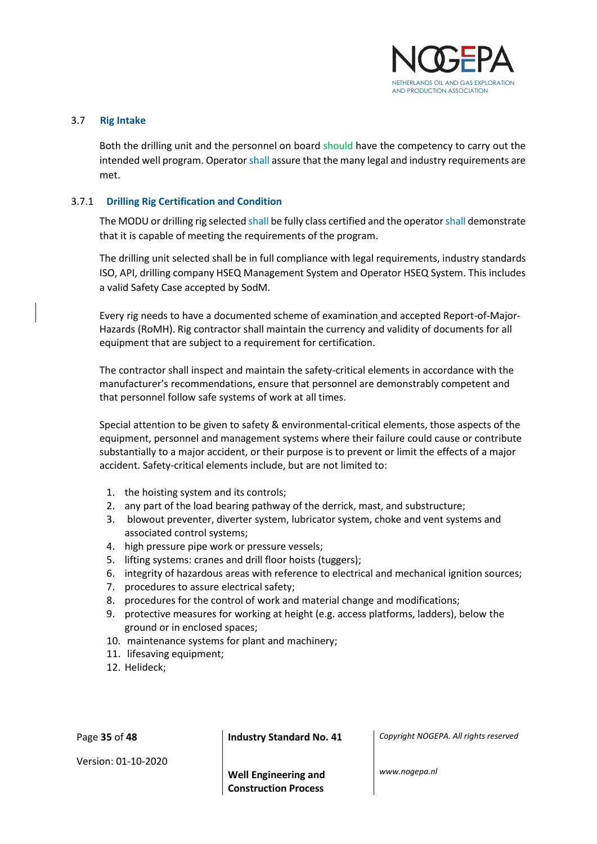

#### <span id="page-34-0"></span>3.7 **Rig Intake**

Both the drilling unit and the personnel on board should have the competency to carry out the intended well program. Operator shall assure that the many legal and industry requirements are met.

#### <span id="page-34-1"></span>3.7.1 **Drilling Rig Certification and Condition**

The MODU or drilling rig selected shall be fully class certified and the operator shall demonstrate that it is capable of meeting the requirements of the program.

The drilling unit selected shall be in full compliance with legal requirements, industry standards ISO, API, drilling company HSEQ Management System and Operator HSEQ System. This includes a valid Safety Case accepted by SodM.

Every rig needs to have a documented scheme of examination and accepted Report-of-Major-Hazards (RoMH). Rig contractor shall maintain the currency and validity of documents for all equipment that are subject to a requirement for certification.

The contractor shall inspect and maintain the safety-critical elements in accordance with the manufacturer's recommendations, ensure that personnel are demonstrably competent and that personnel follow safe systems of work at all times.

Special attention to be given to safety & environmental-critical elements, those aspects of the equipment, personnel and management systems where their failure could cause or contribute substantially to a major accident, or their purpose is to prevent or limit the effects of a major accident. Safety-critical elements include, but are not limited to:

- 1. the hoisting system and its controls;
- 2. any part of the load bearing pathway of the derrick, mast, and substructure;
- 3. blowout preventer, diverter system, lubricator system, choke and vent systems and associated control systems;
- 4. high pressure pipe work or pressure vessels;
- 5. lifting systems: cranes and drill floor hoists (tuggers);
- 6. integrity of hazardous areas with reference to electrical and mechanical ignition sources;
- 7. procedures to assure electrical safety;
- 8. procedures for the control of work and material change and modifications;
- 9. protective measures for working at height (e.g. access platforms, ladders), below the ground or in enclosed spaces;
- 10. maintenance systems for plant and machinery;
- 11. lifesaving equipment;
- 12. Helideck;

Page **35** of **48 Industry Standard No. 41** *Copyright NOGEPA. All rights reserved*

Version: 01-10-2020

**Well Engineering and Construction Process**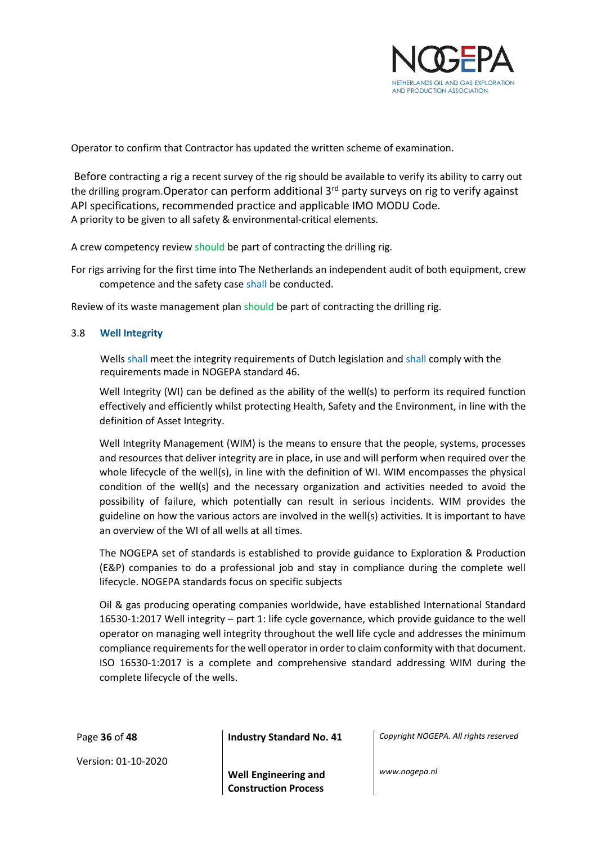

Operator to confirm that Contractor has updated the written scheme of examination.

Before contracting a rig a recent survey of the rig should be available to verify its ability to carry out the drilling program. Operator can perform additional 3<sup>rd</sup> party surveys on rig to verify against API specifications, recommended practice and applicable IMO MODU Code. A priority to be given to all safety & environmental-critical elements.

A crew competency review should be part of contracting the drilling rig.

For rigs arriving for the first time into The Netherlands an independent audit of both equipment, crew competence and the safety case shall be conducted.

Review of its waste management plan should be part of contracting the drilling rig.

#### <span id="page-35-0"></span>3.8 **Well Integrity**

Wells shall meet the integrity requirements of Dutch legislation and shall comply with the requirements made in NOGEPA standard 46.

Well Integrity (WI) can be defined as the ability of the well(s) to perform its required function effectively and efficiently whilst protecting Health, Safety and the Environment, in line with the definition of Asset Integrity.

Well Integrity Management (WIM) is the means to ensure that the people, systems, processes and resources that deliver integrity are in place, in use and will perform when required over the whole lifecycle of the well(s), in line with the definition of WI. WIM encompasses the physical condition of the well(s) and the necessary organization and activities needed to avoid the possibility of failure, which potentially can result in serious incidents. WIM provides the guideline on how the various actors are involved in the well(s) activities. It is important to have an overview of the WI of all wells at all times.

The NOGEPA set of standards is established to provide guidance to Exploration & Production (E&P) companies to do a professional job and stay in compliance during the complete well lifecycle. NOGEPA standards focus on specific subjects

Oil & gas producing operating companies worldwide, have established International Standard 16530-1:2017 Well integrity – part 1: life cycle governance, which provide guidance to the well operator on managing well integrity throughout the well life cycle and addresses the minimum compliance requirements for the well operator in order to claim conformity with that document. ISO 16530-1:2017 is a complete and comprehensive standard addressing WIM during the complete lifecycle of the wells.

Version: 01-10-2020

Page **36** of **48 Industry Standard No. 41** *Copyright NOGEPA. All rights reserved*

**Well Engineering and Construction Process**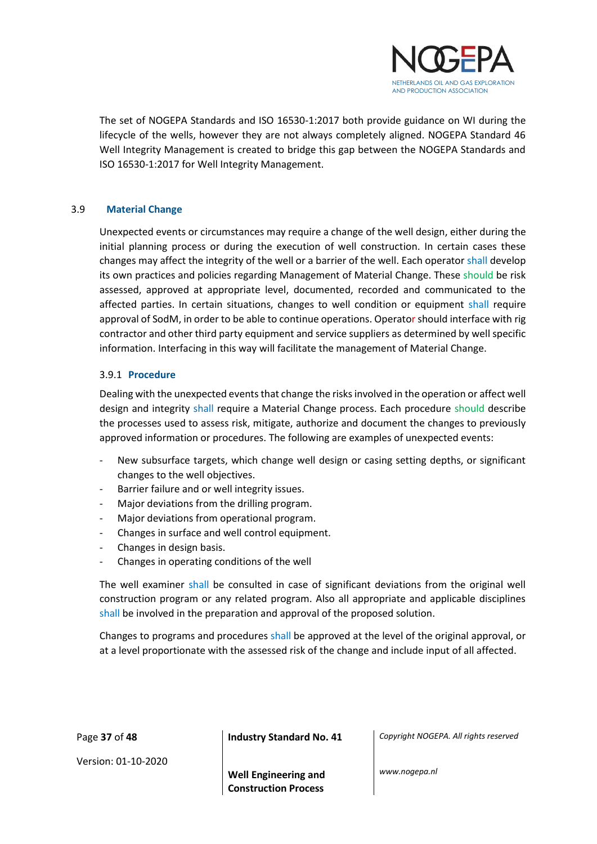

The set of NOGEPA Standards and ISO 16530-1:2017 both provide guidance on WI during the lifecycle of the wells, however they are not always completely aligned. NOGEPA Standard 46 Well Integrity Management is created to bridge this gap between the NOGEPA Standards and ISO 16530-1:2017 for Well Integrity Management.

#### 3.9 **Material Change**

Unexpected events or circumstances may require a change of the well design, either during the initial planning process or during the execution of well construction. In certain cases these changes may affect the integrity of the well or a barrier of the well. Each operator shall develop its own practices and policies regarding Management of Material Change. These should be risk assessed, approved at appropriate level, documented, recorded and communicated to the affected parties. In certain situations, changes to well condition or equipment shall require approval of SodM, in order to be able to continue operations. Operator should interface with rig contractor and other third party equipment and service suppliers as determined by well specific information. Interfacing in this way will facilitate the management of Material Change.

#### <span id="page-36-0"></span>3.9.1 **Procedure**

Dealing with the unexpected events that change the risks involved in the operation or affect well design and integrity shall require a Material Change process. Each procedure should describe the processes used to assess risk, mitigate, authorize and document the changes to previously approved information or procedures. The following are examples of unexpected events:

- New subsurface targets, which change well design or casing setting depths, or significant changes to the well objectives.
- Barrier failure and or well integrity issues.
- Major deviations from the drilling program.
- Major deviations from operational program.
- Changes in surface and well control equipment.
- Changes in design basis.
- Changes in operating conditions of the well

The well examiner shall be consulted in case of significant deviations from the original well construction program or any related program. Also all appropriate and applicable disciplines shall be involved in the preparation and approval of the proposed solution.

Changes to programs and procedures shall be approved at the level of the original approval, or at a level proportionate with the assessed risk of the change and include input of all affected.

|  | Page 37 of 48 |  |
|--|---------------|--|
|  |               |  |

Version: 01-10-2020

**Industry Standard No. 41** *Copyright NOGEPA. All rights reserved* 

**Well Engineering and Construction Process**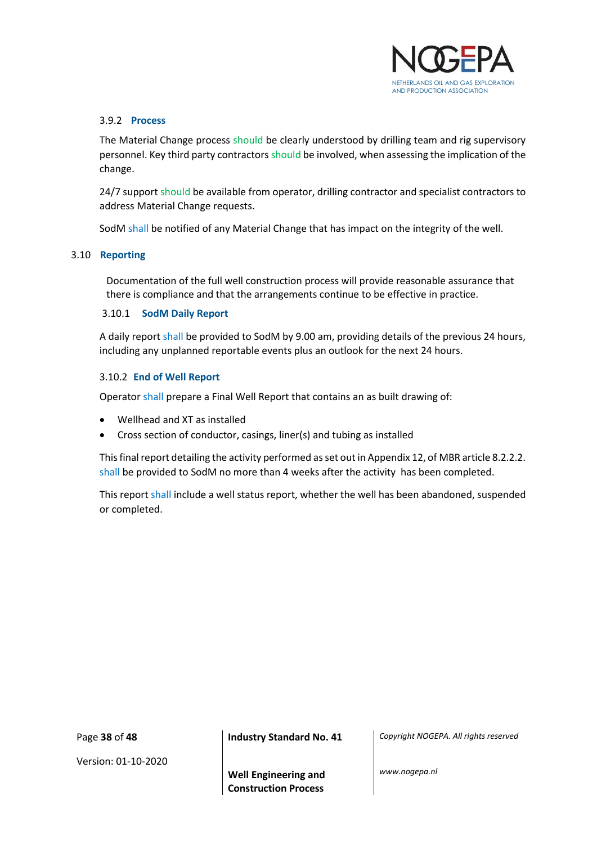

#### <span id="page-37-0"></span>3.9.2 **Process**

The Material Change process should be clearly understood by drilling team and rig supervisory personnel. Key third party contractors should be involved, when assessing the implication of the change.

24/7 support should be available from operator, drilling contractor and specialist contractors to address Material Change requests.

SodM shall be notified of any Material Change that has impact on the integrity of the well.

#### <span id="page-37-1"></span>3.10 **Reporting**

Documentation of the full well construction process will provide reasonable assurance that there is compliance and that the arrangements continue to be effective in practice.

#### 3.10.1 **SodM Daily Report**

A daily report shall be provided to SodM by 9.00 am, providing details of the previous 24 hours, including any unplanned reportable events plus an outlook for the next 24 hours.

#### <span id="page-37-2"></span>3.10.2 **End of Well Report**

Operator shall prepare a Final Well Report that contains an as built drawing of:

- Wellhead and XT as installed
- Cross section of conductor, casings, liner(s) and tubing as installed

This final report detailing the activity performed as set out in Appendix 12, of MBR article 8.2.2.2. shall be provided to SodM no more than 4 weeks after the activity has been completed.

This report shall include a well status report, whether the well has been abandoned, suspended or completed.

Version: 01-10-2020

Page **38** of **48 Industry Standard No. 41** *Copyright NOGEPA. All rights reserved*

**Well Engineering and Construction Process**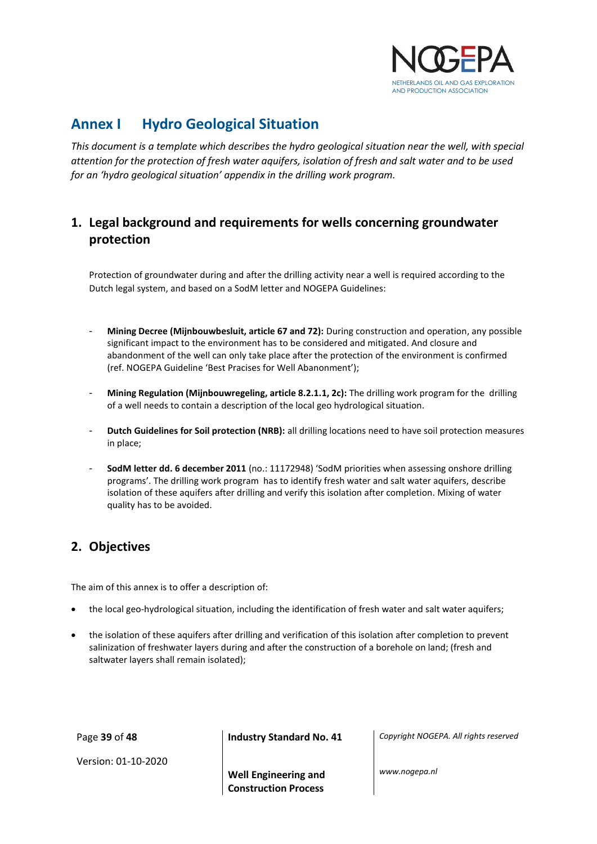

## <span id="page-38-0"></span>**Annex I Hydro Geological Situation**

*This document is a template which describes the hydro geological situation near the well, with special attention for the protection of fresh water aquifers, isolation of fresh and salt water and to be used for an 'hydro geological situation' appendix in the drilling work program.* 

## **1. Legal background and requirements for wells concerning groundwater protection**

Protection of groundwater during and after the drilling activity near a well is required according to the Dutch legal system, and based on a SodM letter and NOGEPA Guidelines:

- **Mining Decree (Mijnbouwbesluit, article 67 and 72):** During construction and operation, any possible significant impact to the environment has to be considered and mitigated. And closure and abandonment of the well can only take place after the protection of the environment is confirmed (ref. NOGEPA Guideline 'Best Pracises for Well Abanonment');
- Mining Regulation (Mijnbouwregeling, article 8.2.1.1, 2c): The drilling work program for the drilling of a well needs to contain a description of the local geo hydrological situation.
- **Dutch Guidelines for Soil protection (NRB):** all drilling locations need to have soil protection measures in place;
- **SodM letter dd. 6 december 2011** (no.: 11172948) 'SodM priorities when assessing onshore drilling programs'. The drilling work program has to identify fresh water and salt water aquifers, describe isolation of these aquifers after drilling and verify this isolation after completion. Mixing of water quality has to be avoided.

## **2. Objectives**

The aim of this annex is to offer a description of:

- the local geo-hydrological situation, including the identification of fresh water and salt water aquifers;
- the isolation of these aquifers after drilling and verification of this isolation after completion to prevent salinization of freshwater layers during and after the construction of a borehole on land; (fresh and saltwater layers shall remain isolated);

Version: 01-10-2020

Page **39** of **48 Industry Standard No. 41** *Copyright NOGEPA. All rights reserved*

**Well Engineering and Construction Process**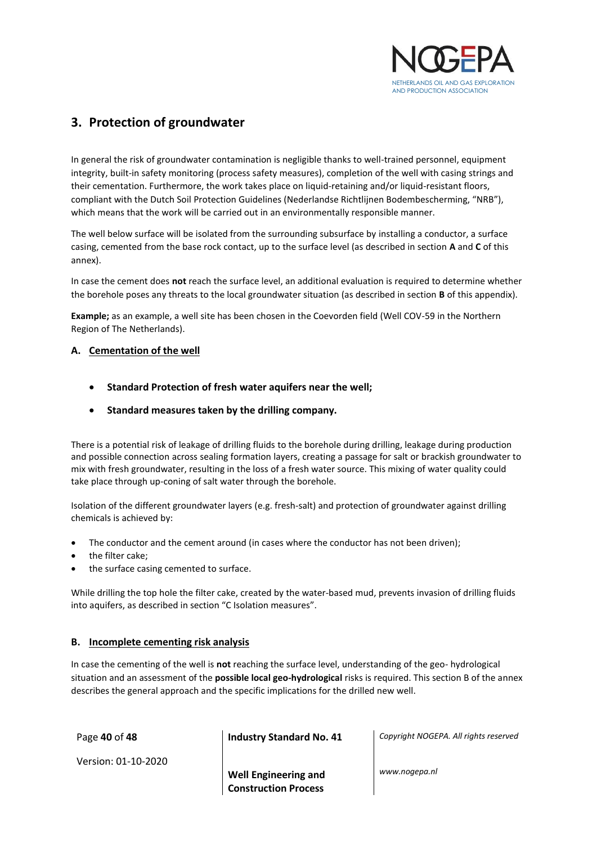

## **3. Protection of groundwater**

In general the risk of groundwater contamination is negligible thanks to well-trained personnel, equipment integrity, built-in safety monitoring (process safety measures), completion of the well with casing strings and their cementation. Furthermore, the work takes place on liquid-retaining and/or liquid-resistant floors, compliant with the Dutch Soil Protection Guidelines (Nederlandse Richtlijnen Bodembescherming, "NRB"), which means that the work will be carried out in an environmentally responsible manner.

The well below surface will be isolated from the surrounding subsurface by installing a conductor, a surface casing, cemented from the base rock contact, up to the surface level (as described in section **A** and **C** of this annex).

In case the cement does **not** reach the surface level, an additional evaluation is required to determine whether the borehole poses any threats to the local groundwater situation (as described in section **B** of this appendix).

**Example;** as an example, a well site has been chosen in the Coevorden field (Well COV-59 in the Northern Region of The Netherlands).

#### **A. Cementation of the well**

- **Standard Protection of fresh water aquifers near the well;**
- **Standard measures taken by the drilling company.**

There is a potential risk of leakage of drilling fluids to the borehole during drilling, leakage during production and possible connection across sealing formation layers, creating a passage for salt or brackish groundwater to mix with fresh groundwater, resulting in the loss of a fresh water source. This mixing of water quality could take place through up-coning of salt water through the borehole.

Isolation of the different groundwater layers (e.g. fresh-salt) and protection of groundwater against drilling chemicals is achieved by:

- The conductor and the cement around (in cases where the conductor has not been driven);
- the filter cake;
- the surface casing cemented to surface.

While drilling the top hole the filter cake, created by the water-based mud, prevents invasion of drilling fluids into aquifers, as described in section "C Isolation measures".

#### **B. Incomplete cementing risk analysis**

In case the cementing of the well is **not** reaching the surface level, understanding of the geo- hydrological situation and an assessment of the **possible local geo-hydrological** risks is required. This section B of the annex describes the general approach and the specific implications for the drilled new well.

| Page 40 of 48       | <b>Industry Standard No. 41</b> | Copyright NOGEPA. All rights reserved |
|---------------------|---------------------------------|---------------------------------------|
| Version: 01-10-2020 |                                 |                                       |
|                     | <b>Well Engineering and</b>     | www.nogepa.nl                         |
|                     | <b>Construction Process</b>     |                                       |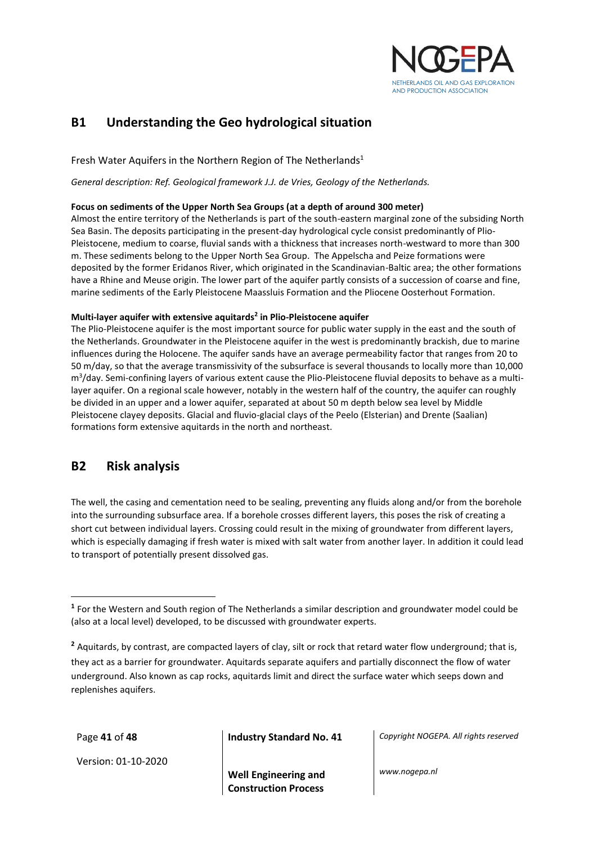

## **B1 Understanding the Geo hydrological situation**

Fresh Water Aquifers in the Northern Region of The Netherlands<sup>1</sup>

*General description: Ref. Geological framework J.J. de Vries, Geology of the Netherlands.*

#### **Focus on sediments of the Upper North Sea Groups (at a depth of around 300 meter)**

Almost the entire territory of the Netherlands is part of the south-eastern marginal zone of the subsiding North Sea Basin. The deposits participating in the present-day hydrological cycle consist predominantly of Plio-Pleistocene, medium to coarse, fluvial sands with a thickness that increases north-westward to more than 300 m. These sediments belong to the Upper North Sea Group. The Appelscha and Peize formations were deposited by the former Eridanos River, which originated in the Scandinavian-Baltic area; the other formations have a Rhine and Meuse origin. The lower part of the aquifer partly consists of a succession of coarse and fine, marine sediments of the Early Pleistocene Maassluis Formation and the Pliocene Oosterhout Formation.

#### **Multi-layer aquifer with extensive aquitards<sup>2</sup> in Plio-Pleistocene aquifer**

The Plio-Pleistocene aquifer is the most important source for public water supply in the east and the south of the Netherlands. Groundwater in the Pleistocene aquifer in the west is predominantly brackish, due to marine influences during the Holocene. The aquifer sands have an average permeability factor that ranges from 20 to 50 m/day, so that the average transmissivity of the subsurface is several thousands to locally more than 10,000 m<sup>3</sup>/day. Semi-confining layers of various extent cause the Plio-Pleistocene fluvial deposits to behave as a multilayer aquifer. On a regional scale however, notably in the western half of the country, the aquifer can roughly be divided in an upper and a lower aquifer, separated at about 50 m depth below sea level by Middle Pleistocene clayey deposits. Glacial and fluvio-glacial clays of the Peelo (Elsterian) and Drente (Saalian) formations form extensive aquitards in the north and northeast.

#### **B2 Risk analysis**

The well, the casing and cementation need to be sealing, preventing any fluids along and/or from the borehole into the surrounding subsurface area. If a borehole crosses different layers, this poses the risk of creating a short cut between individual layers. Crossing could result in the mixing of groundwater from different layers, which is especially damaging if fresh water is mixed with salt water from another layer. In addition it could lead to transport of potentially present dissolved gas.

Version: 01-10-2020

Page **41** of **48 Industry Standard No. 41** *Copyright NOGEPA. All rights reserved*

**Well Engineering and Construction Process**

**<sup>1</sup>** For the Western and South region of The Netherlands a similar description and groundwater model could be (also at a local level) developed, to be discussed with groundwater experts.

**<sup>2</sup>** Aquitards, by contrast, are compacted layers of clay, silt or rock that retard water flow underground; that is, they act as a barrier for groundwater. Aquitards separate aquifers and partially disconnect the flow of water underground. Also known as cap rocks, aquitards limit and direct the surface water which seeps down and replenishes aquifers.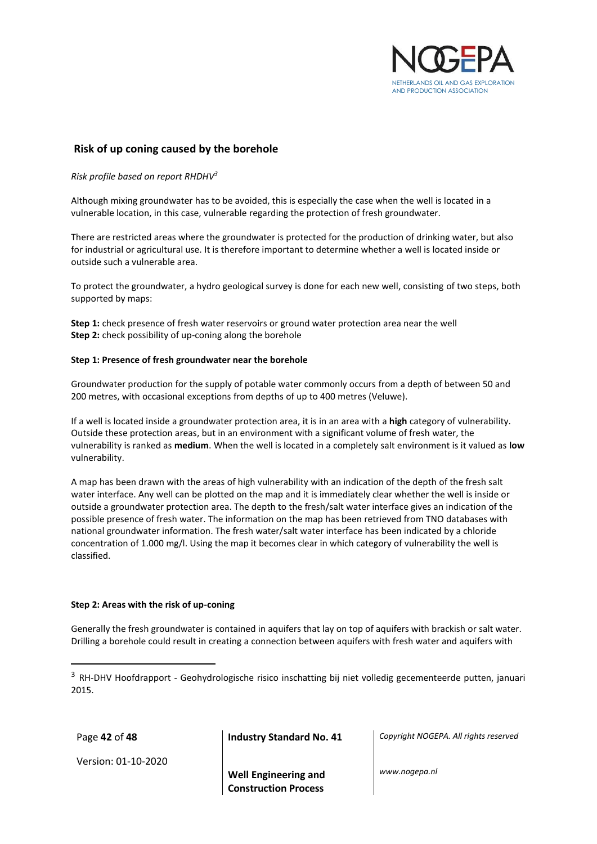

#### **Risk of up coning caused by the borehole**

#### *Risk profile based on report RHDHV<sup>3</sup>*

Although mixing groundwater has to be avoided, this is especially the case when the well is located in a vulnerable location, in this case, vulnerable regarding the protection of fresh groundwater.

There are restricted areas where the groundwater is protected for the production of drinking water, but also for industrial or agricultural use. It is therefore important to determine whether a well is located inside or outside such a vulnerable area.

To protect the groundwater, a hydro geological survey is done for each new well, consisting of two steps, both supported by maps:

**Step 1:** check presence of fresh water reservoirs or ground water protection area near the well **Step 2:** check possibility of up-coning along the borehole

#### **Step 1: Presence of fresh groundwater near the borehole**

Groundwater production for the supply of potable water commonly occurs from a depth of between 50 and 200 metres, with occasional exceptions from depths of up to 400 metres (Veluwe).

If a well is located inside a groundwater protection area, it is in an area with a **high** category of vulnerability. Outside these protection areas, but in an environment with a significant volume of fresh water, the vulnerability is ranked as **medium**. When the well is located in a completely salt environment is it valued as **low** vulnerability.

A map has been drawn with the areas of high vulnerability with an indication of the depth of the fresh salt water interface. Any well can be plotted on the map and it is immediately clear whether the well is inside or outside a groundwater protection area. The depth to the fresh/salt water interface gives an indication of the possible presence of fresh water. The information on the map has been retrieved from TNO databases with national groundwater information. The fresh water/salt water interface has been indicated by a chloride concentration of 1.000 mg/l. Using the map it becomes clear in which category of vulnerability the well is classified.

#### **Step 2: Areas with the risk of up-coning**

Generally the fresh groundwater is contained in aquifers that lay on top of aquifers with brackish or salt water. Drilling a borehole could result in creating a connection between aquifers with fresh water and aquifers with

Version: 01-10-2020

**Well Engineering and Construction Process**

Page **42** of **48 Industry Standard No. 41** *Copyright NOGEPA. All rights reserved*

<sup>&</sup>lt;sup>3</sup> RH-DHV Hoofdrapport - Geohydrologische risico inschatting bij niet volledig gecementeerde putten, januari 2015.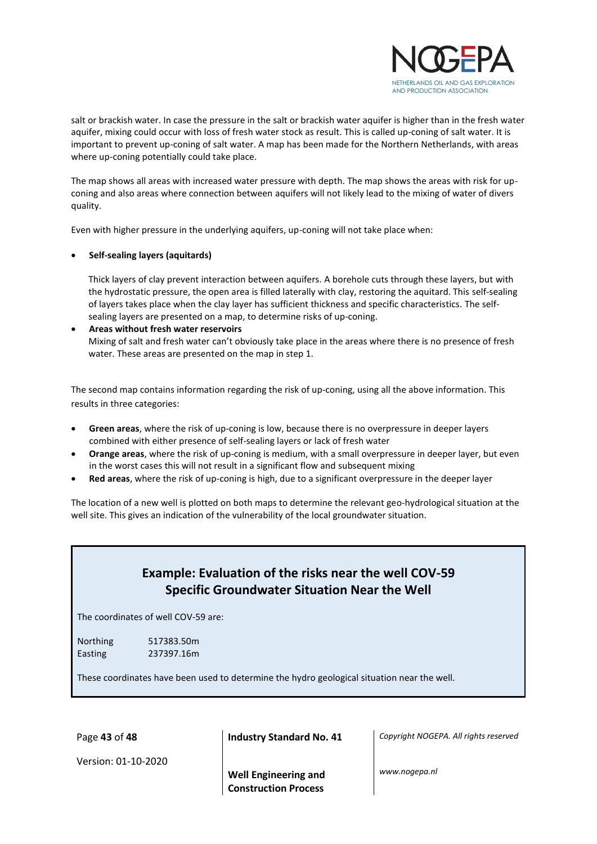

salt or brackish water. In case the pressure in the salt or brackish water aquifer is higher than in the fresh water aquifer, mixing could occur with loss of fresh water stock as result. This is called up-coning of salt water. It is important to prevent up-coning of salt water. A map has been made for the Northern Netherlands, with areas where up-coning potentially could take place.

The map shows all areas with increased water pressure with depth. The map shows the areas with risk for upconing and also areas where connection between aquifers will not likely lead to the mixing of water of divers quality.

Even with higher pressure in the underlying aquifers, up-coning will not take place when:

#### • **Self-sealing layers (aquitards)**

Thick layers of clay prevent interaction between aquifers. A borehole cuts through these layers, but with the hydrostatic pressure, the open area is filled laterally with clay, restoring the aquitard. This self-sealing of layers takes place when the clay layer has sufficient thickness and specific characteristics. The selfsealing layers are presented on a map, to determine risks of up-coning.

#### • **Areas without fresh water reservoirs**

Mixing of salt and fresh water can't obviously take place in the areas where there is no presence of fresh water. These areas are presented on the map in step 1.

The second map contains information regarding the risk of up-coning, using all the above information. This results in three categories:

- **Green areas**, where the risk of up-coning is low, because there is no overpressure in deeper layers combined with either presence of self-sealing layers or lack of fresh water
- **Orange areas**, where the risk of up-coning is medium, with a small overpressure in deeper layer, but even in the worst cases this will not result in a significant flow and subsequent mixing
- **Red areas**, where the risk of up-coning is high, due to a significant overpressure in the deeper layer

The location of a new well is plotted on both maps to determine the relevant geo-hydrological situation at the well site. This gives an indication of the vulnerability of the local groundwater situation.

## **Example: Evaluation of the risks near the well COV-59 Specific Groundwater Situation Near the Well**

The coordinates of well COV-59 are:

Northing 517383.50m Easting 237397.16m

These coordinates have been used to determine the hydro geological situation near the well.

Page **43** of **48 Industry Standard No. 41** *Copyright NOGEPA. All rights reserved*

Version: 01-10-2020

**Well Engineering and Construction Process**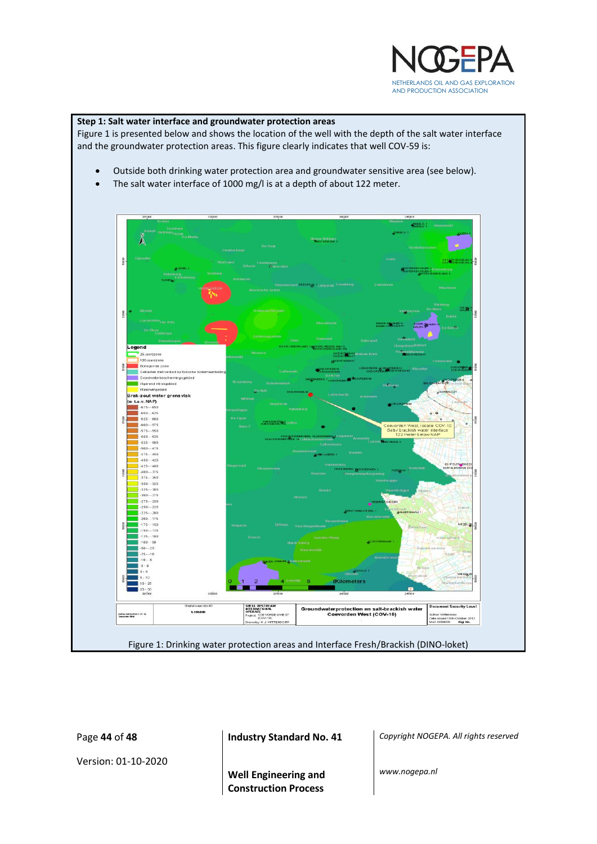

#### **Step 1: Salt water interface and groundwater protection areas**

Figure 1 is presented below and shows the location of the well with the depth of the salt water interface and the groundwater protection areas. This figure clearly indicates that well COV-59 is:

- Outside both drinking water protection area and groundwater sensitive area (see below).
- The salt water interface of 1000 mg/l is at a depth of about 122 meter.



Version: 01-10-2020

**Well Engineering and Construction Process**

Page **44** of **48 Industry Standard No. 41** *Copyright NOGEPA. All rights reserved*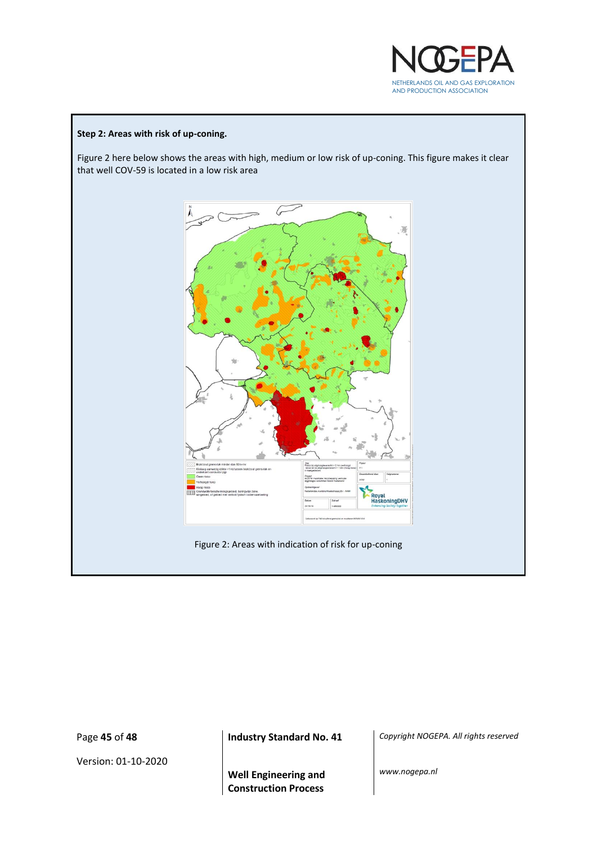

#### **Step 2: Areas with risk of up-coning.**

Figure 2 here below shows the areas with high, medium or low risk of up-coning. This figure makes it clear that well COV-59 is located in a low risk area



Version: 01-10-2020

**Well Engineering and Construction Process**

Page **45** of **48 Industry Standard No. 41** *Copyright NOGEPA. All rights reserved*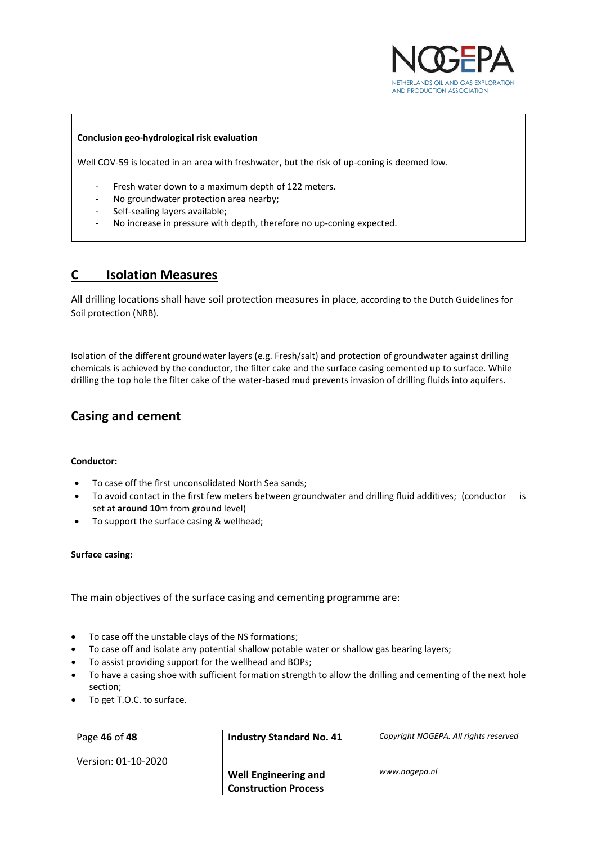

#### **Conclusion geo-hydrological risk evaluation**

Well COV-59 is located in an area with freshwater, but the risk of up-coning is deemed low.

- Fresh water down to a maximum depth of 122 meters.
- No groundwater protection area nearby;
- Self-sealing layers available;
- No increase in pressure with depth, therefore no up-coning expected.

#### **C Isolation Measures**

All drilling locations shall have soil protection measures in place, according to the Dutch Guidelines for Soil protection (NRB).

Isolation of the different groundwater layers (e.g. Fresh/salt) and protection of groundwater against drilling chemicals is achieved by the conductor, the filter cake and the surface casing cemented up to surface. While drilling the top hole the filter cake of the water-based mud prevents invasion of drilling fluids into aquifers.

#### **Casing and cement**

#### **Conductor:**

- To case off the first unconsolidated North Sea sands;
- To avoid contact in the first few meters between groundwater and drilling fluid additives; (conductor is set at **around 10**m from ground level)
- To support the surface casing & wellhead;

#### **Surface casing:**

The main objectives of the surface casing and cementing programme are:

- To case off the unstable clays of the NS formations;
- To case off and isolate any potential shallow potable water or shallow gas bearing layers;
- To assist providing support for the wellhead and BOPs;
- To have a casing shoe with sufficient formation strength to allow the drilling and cementing of the next hole section;
- To get T.O.C. to surface.

Page **46** of **48 Industry Standard No. 41** *Copyright NOGEPA. All rights reserved*

Version: 01-10-2020

**Well Engineering and Construction Process**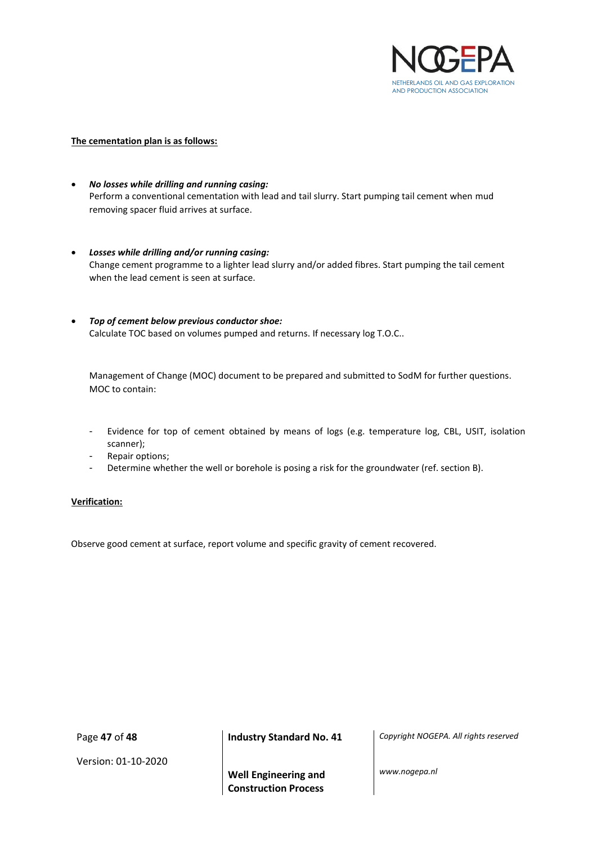

#### **The cementation plan is as follows:**

- *No losses while drilling and running casing:* Perform a conventional cementation with lead and tail slurry. Start pumping tail cement when mud removing spacer fluid arrives at surface.
- *Losses while drilling and/or running casing:* Change cement programme to a lighter lead slurry and/or added fibres. Start pumping the tail cement when the lead cement is seen at surface.
- *Top of cement below previous conductor shoe:* Calculate TOC based on volumes pumped and returns. If necessary log T.O.C..

Management of Change (MOC) document to be prepared and submitted to SodM for further questions. MOC to contain:

- Evidence for top of cement obtained by means of logs (e.g. temperature log, CBL, USIT, isolation scanner);
- Repair options;
- Determine whether the well or borehole is posing a risk for the groundwater (ref. section B).

#### **Verification:**

Observe good cement at surface, report volume and specific gravity of cement recovered.

Version: 01-10-2020

Page **47** of **48 Industry Standard No. 41** *Copyright NOGEPA. All rights reserved*

**Well Engineering and Construction Process**